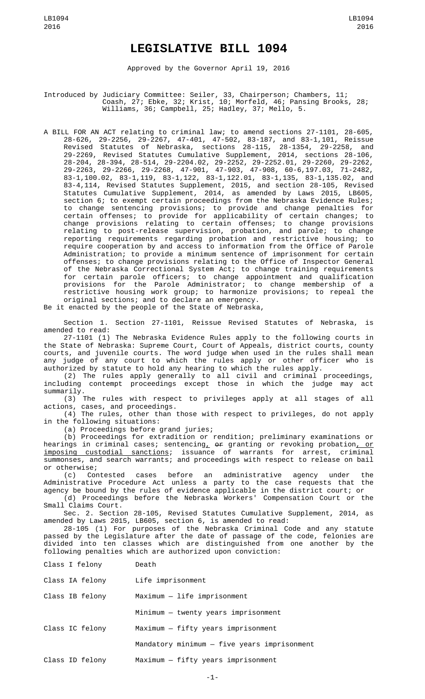## **LEGISLATIVE BILL 1094**

Approved by the Governor April 19, 2016

Introduced by Judiciary Committee: Seiler, 33, Chairperson; Chambers, 11; Coash, 27; Ebke, 32; Krist, 10; Morfeld, 46; Pansing Brooks, 28; Williams, 36; Campbell, 25; Hadley, 37; Mello, 5.

A BILL FOR AN ACT relating to criminal law; to amend sections 27-1101, 28-605, 28-626, 29-2256, 29-2267, 47-401, 47-502, 83-187, and 83-1,101, Reissue Revised Statutes of Nebraska, sections 28-115, 28-1354, 29-2258, and 29-2269, Revised Statutes Cumulative Supplement, 2014, sections 28-106, 28-204, 28-394, 28-514, 29-2204.02, 29-2252, 29-2252.01, 29-2260, 29-2262, 29-2263, 29-2266, 29-2268, 47-901, 47-903, 47-908, 60-6,197.03, 71-2482, 83-1,100.02, 83-1,119, 83-1,122, 83-1,122.01, 83-1,135, 83-1,135.02, and 83-4,114, Revised Statutes Supplement, 2015, and section 28-105, Revised Statutes Cumulative Supplement, 2014, as amended by Laws 2015, LB605, section 6; to exempt certain proceedings from the Nebraska Evidence Rules; to change sentencing provisions; to provide and change penalties for certain offenses; to provide for applicability of certain changes; to change provisions relating to certain offenses; to change provisions relating to post-release supervision, probation, and parole; to change reporting requirements regarding probation and restrictive housing; to require cooperation by and access to information from the Office of Parole Administration; to provide a minimum sentence of imprisonment for certain offenses; to change provisions relating to the Office of Inspector General of the Nebraska Correctional System Act; to change training requirements for certain parole officers; to change appointment and qualification provisions for the Parole Administrator; to change membership of a restrictive housing work group; to harmonize provisions; to repeal the original sections; and to declare an emergency.

Be it enacted by the people of the State of Nebraska,

Section 1. Section 27-1101, Reissue Revised Statutes of Nebraska, is amended to read:

27-1101 (1) The Nebraska Evidence Rules apply to the following courts in the State of Nebraska: Supreme Court, Court of Appeals, district courts, county courts, and juvenile courts. The word judge when used in the rules shall mean any judge of any court to which the rules apply or other officer who is authorized by statute to hold any hearing to which the rules apply.

(2) The rules apply generally to all civil and criminal proceedings, including contempt proceedings except those in which the judge may act summarily.

(3) The rules with respect to privileges apply at all stages of all actions, cases, and proceedings.

(4) The rules, other than those with respect to privileges, do not apply in the following situations:

(a) Proceedings before grand juries;

(b) Proceedings for extradition or rendition; preliminary examinations or hearings in criminal cases; sentencing<u>,</u> o<del>r</del> granting or revoking probation<u>, or</u> imposing custodial sanctions; issuance of warrants for arrest, criminal summonses, and search warrants; and proceedings with respect to release on bail or otherwise;

(c) Contested cases before an administrative agency under the Administrative Procedure Act unless a party to the case requests that the agency be bound by the rules of evidence applicable in the district court; or

(d) Proceedings before the Nebraska Workers' Compensation Court or the Small Claims Court.

Sec. 2. Section 28-105, Revised Statutes Cumulative Supplement, 2014, as amended by Laws 2015, LB605, section 6, is amended to read:

28-105 (1) For purposes of the Nebraska Criminal Code and any statute passed by the Legislature after the date of passage of the code, felonies are divided into ten classes which are distinguished from one another by the following penalties which are authorized upon conviction:

| Class I felony  | Death                                       |
|-----------------|---------------------------------------------|
| Class IA felony | Life imprisonment                           |
| Class IB felony | $Maximum - life import$                     |
|                 | Minimum - twenty years imprisonment         |
| Class IC felony | Maximum - fifty years imprisonment          |
|                 | Mandatory minimum - five years imprisonment |
| Class ID felony | Maximum - fifty years imprisonment          |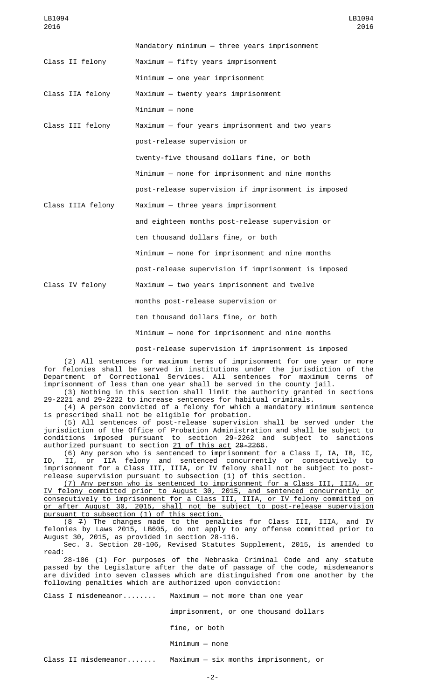LB1094 2016

|                   | Mandatory minimum - three years imprisonment        |
|-------------------|-----------------------------------------------------|
| Class II felony   | Maximum - fifty years imprisonment                  |
|                   | $Minimum - one year$ imprisonment                   |
| Class IIA felony  | Maximum - twenty years imprisonment                 |
|                   | $Minimum - none$                                    |
| Class III felony  | Maximum - four years imprisonment and two years     |
|                   | post-release supervision or                         |
|                   | twenty-five thousand dollars fine, or both          |
|                   | Minimum - none for imprisonment and nine months     |
|                   | post-release supervision if imprisonment is imposed |
| Class IIIA felony | Maximum - three years imprisonment                  |
|                   | and eighteen months post-release supervision or     |
|                   | ten thousand dollars fine, or both                  |
|                   | Minimum - none for imprisonment and nine months     |
|                   | post-release supervision if imprisonment is imposed |
| Class IV felony   | Maximum - two years imprisonment and twelve         |
|                   | months post-release supervision or                  |
|                   | ten thousand dollars fine, or both                  |
|                   | Minimum - none for imprisonment and nine months     |
|                   | .                                                   |

post-release supervision if imprisonment is imposed

(2) All sentences for maximum terms of imprisonment for one year or more for felonies shall be served in institutions under the jurisdiction of the Department of Correctional Services. All sentences for maximum terms of imprisonment of less than one year shall be served in the county jail.

(3) Nothing in this section shall limit the authority granted in sections 29-2221 and 29-2222 to increase sentences for habitual criminals.

(4) A person convicted of a felony for which a mandatory minimum sentence is prescribed shall not be eligible for probation.

(5) All sentences of post-release supervision shall be served under the jurisdiction of the Office of Probation Administration and shall be subject to conditions imposed pursuant to section 29-2262 and subject to sanctions authorized pursuant to section 21 of this act 29-2266.

(6) Any person who is sentenced to imprisonment for a Class I, IA, IB, IC, ID, II, or IIA felony and sentenced concurrently or consecutively to imprisonment for a Class III, IIIA, or IV felony shall not be subject to postrelease supervision pursuant to subsection (1) of this section.

(7) Any person who is sentenced to imprisonment for a Class III, IIIA, or IV felony committed prior to August 30, 2015, and sentenced concurrently or consecutively to imprisonment for a Class III, IIIA, or IV felony committed on or after August 30, 2015, shall not be subject to post-release supervision pursuant to subsection (1) of this section.

 $(8 \t 7)$  The changes made to the penalties for Class III, IIIA, and IV felonies by Laws 2015, LB605, do not apply to any offense committed prior to August 30, 2015, as provided in section 28-116.

Sec. 3. Section 28-106, Revised Statutes Supplement, 2015, is amended to read:

28-106 (1) For purposes of the Nebraska Criminal Code and any statute passed by the Legislature after the date of passage of the code, misdemeanors are divided into seven classes which are distinguished from one another by the following penalties which are authorized upon conviction:

Class I misdemeanor........ Maximum — not more than one year

imprisonment, or one thousand dollars

fine, or both

Minimum — none

Class II misdemeanor....... Maximum — six months imprisonment, or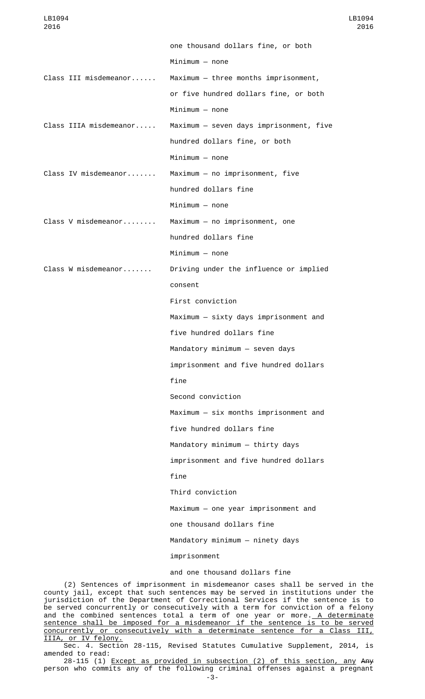one thousand dollars fine, or both Minimum — none Class III misdemeanor...... Maximum — three months imprisonment, or five hundred dollars fine, or both Minimum — none Class IIIA misdemeanor..... Maximum — seven days imprisonment, five hundred dollars fine, or both Minimum — none Class IV misdemeanor....... Maximum — no imprisonment, five hundred dollars fine Minimum — none Class V misdemeanor........ Maximum — no imprisonment, one hundred dollars fine Minimum — none Class W misdemeanor....... Driving under the influence or implied consent First conviction Maximum — sixty days imprisonment and five hundred dollars fine Mandatory minimum — seven days imprisonment and five hundred dollars fine Second conviction Maximum — six months imprisonment and five hundred dollars fine Mandatory minimum — thirty days imprisonment and five hundred dollars fine Third conviction Maximum — one year imprisonment and one thousand dollars fine Mandatory minimum — ninety days imprisonment and one thousand dollars fine

(2) Sentences of imprisonment in misdemeanor cases shall be served in the county jail, except that such sentences may be served in institutions under the jurisdiction of the Department of Correctional Services if the sentence is to be served concurrently or consecutively with a term for conviction of a felony and the combined sentences total a term of one year or more.<u> A determinate</u> sentence shall be imposed for a misdemeanor if the sentence is to be served concurrently or consecutively with a determinate sentence for a Class III, IIIA, or IV felony.

Sec. 4. Section 28-115, Revised Statutes Cumulative Supplement, 2014, is amended to read:

28-115 (1) Except as provided in subsection (2) of this section, any Any person who commits any of the following criminal offenses against a pregnant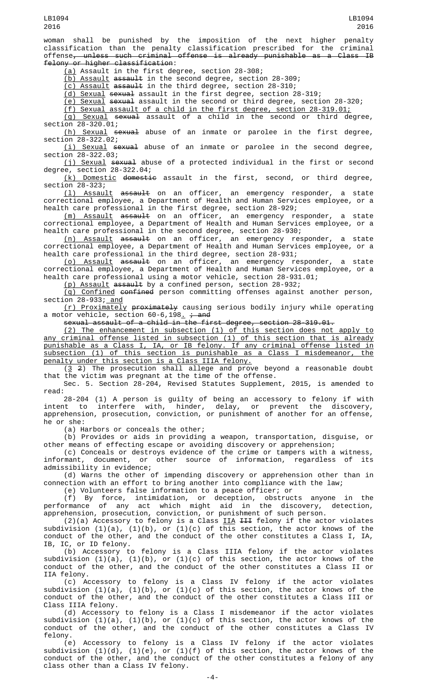woman shall be punished by the imposition of the next higher penalty classification than the penalty classification prescribed for the criminal offense<del>, unless such criminal offense is already punishable as a Class IB</del> felony or higher classification:

(a) Assault in the first degree, section 28-308;

(b) Assault assault in the second degree, section 28-309;

(c) Assault assault in the third degree, section 28-310;

(d) Sexual sexual assault in the first degree, section 28-319;

(e) Sexual sexual assault in the second or third degree, section 28-320;

 $(f)$  Sexual assault of a child in the first degree, section 28-319.01;<br>(g) Sexual <del>sexual</del> assault of a child in the second or third degree,

(g) Sexual sexual assault of a child in the second or third degree, section 28-320.01;

(h) Sexual sexual abuse of an inmate or parolee in the first degree, section 28-322.02;

(i) Sexual sexual abuse of an inmate or parolee in the second degree, section 28-322.03;

(j) Sexual sexual abuse of a protected individual in the first or second degree, section 28-322.04;

(k) Domestic domestic assault in the first, second, or third degree, section 28-323;

(l) Assault assault on an officer, an emergency responder, a state correctional employee, a Department of Health and Human Services employee, or a health care professional in the first degree, section 28-929;

<u>(m) Assault</u> <del>assault</del> on an officer, an emergency responder, a state correctional employee, a Department of Health and Human Services employee, or a health care professional in the second degree, section 28-930;

(n) Assault assault on an officer, an emergency responder, a state correctional employee, a Department of Health and Human Services employee, or a health care professional in the third degree, section 28-931;

(o) Assault assault on an officer, an emergency responder, a state correctional employee, a Department of Health and Human Services employee, or a health care professional using a motor vehicle, section 28-931.01;

(p) Assault assault by a confined person, section 28-932;

(q) Confined confined person committing offenses against another person, section 28-933; and

(r) Proximately proximately causing serious bodily injury while operating a motor vehicle, section 60-6,198<u>.</u> <del>; and</del>

sexual assault of a child in the first degree, section 28-319.01.

(2) The enhancement in subsection (1) of this section does not apply to any criminal offense listed in subsection (1) of this section that is already punishable as a Class I, IA, or IB felony. If any criminal offense listed in subsection (1) of this section is punishable as a Class I misdemeanor, the penalty under this section is a Class IIIA felony.

(3 2) The prosecution shall allege and prove beyond a reasonable doubt that the victim was pregnant at the time of the offense.

Sec. 5. Section 28-204, Revised Statutes Supplement, 2015, is amended to read:

28-204 (1) A person is guilty of being an accessory to felony if with intent to interfere with, hinder, delay, or prevent the discovery, apprehension, prosecution, conviction, or punishment of another for an offense, he or she:

(a) Harbors or conceals the other;

(b) Provides or aids in providing a weapon, transportation, disguise, or other means of effecting escape or avoiding discovery or apprehension;

(c) Conceals or destroys evidence of the crime or tampers with a witness, informant, document, or other source of information, regardless of its admissibility in evidence;

(d) Warns the other of impending discovery or apprehension other than in connection with an effort to bring another into compliance with the law;

(e) Volunteers false information to a peace officer; or

(f) By force, intimidation, or deception, obstructs anyone in the performance of any act which might aid in the discovery, detection, apprehension, prosecution, conviction, or punishment of such person.

(2)(a) Accessory to felony is a Class  $II\overline{A}$   $III\overline{A}$  felony if the actor violates subdivision (1)(a), (1)(b), or (1)(c) of this section, the actor knows of the conduct of the other, and the conduct of the other constitutes a Class I, IA, IB, IC, or ID felony.

(b) Accessory to felony is a Class IIIA felony if the actor violates subdivision (1)(a), (1)(b), or (1)(c) of this section, the actor knows of the conduct of the other, and the conduct of the other constitutes a Class II or IIA felony.

(c) Accessory to felony is a Class IV felony if the actor violates subdivision (1)(a), (1)(b), or (1)(c) of this section, the actor knows of the conduct of the other, and the conduct of the other constitutes a Class III or Class IIIA felony.

(d) Accessory to felony is a Class I misdemeanor if the actor violates subdivision (1)(a), (1)(b), or (1)(c) of this section, the actor knows of the conduct of the other, and the conduct of the other constitutes a Class IV felony.

(e) Accessory to felony is a Class IV felony if the actor violates subdivision (1)(d), (1)(e), or (1)(f) of this section, the actor knows of the conduct of the other, and the conduct of the other constitutes a felony of any class other than a Class IV felony.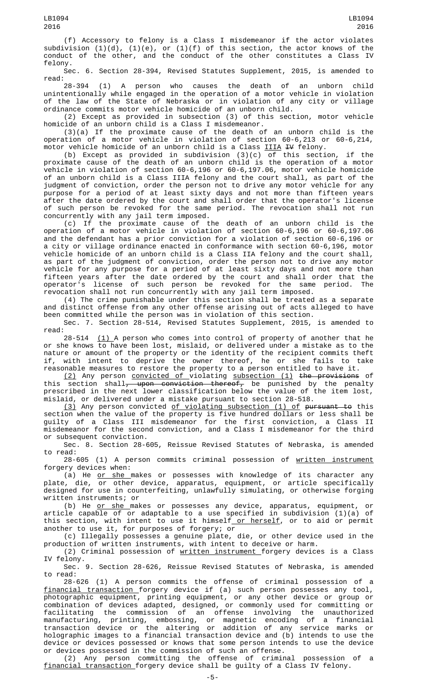(f) Accessory to felony is a Class I misdemeanor if the actor violates subdivision (1)(d), (1)(e), or (1)(f) of this section, the actor knows of the conduct of the other, and the conduct of the other constitutes a Class IV felony.

Sec. 6. Section 28-394, Revised Statutes Supplement, 2015, is amended to read:<br>28-394

28-394 (1) A person who causes the death of an unborn child unintentionally while engaged in the operation of a motor vehicle in violation of the law of the State of Nebraska or in violation of any city or village ordinance commits motor vehicle homicide of an unborn child.

(2) Except as provided in subsection (3) of this section, motor vehicle homicide of an unborn child is a Class I misdemeanor.

(3)(a) If the proximate cause of the death of an unborn child is the operation of a motor vehicle in violation of section 60-6,213 or 60-6,214, motor vehicle homicide of an unborn child is a Class IIIA IV felony.

(b) Except as provided in subdivision (3)(c) of this section, if the proximate cause of the death of an unborn child is the operation of a motor vehicle in violation of section 60-6,196 or 60-6,197.06, motor vehicle homicide of an unborn child is a Class IIIA felony and the court shall, as part of the judgment of conviction, order the person not to drive any motor vehicle for any purpose for a period of at least sixty days and not more than fifteen years after the date ordered by the court and shall order that the operator's license of such person be revoked for the same period. The revocation shall not run concurrently with any jail term imposed.

(c) If the proximate cause of the death of an unborn child is the operation of a motor vehicle in violation of section 60-6,196 or 60-6,197.06 and the defendant has a prior conviction for a violation of section 60-6,196 or a city or village ordinance enacted in conformance with section 60-6,196, motor vehicle homicide of an unborn child is a Class IIA felony and the court shall, as part of the judgment of conviction, order the person not to drive any motor vehicle for any purpose for a period of at least sixty days and not more than fifteen years after the date ordered by the court and shall order that the operator's license of such person be revoked for the same period. The revocation shall not run concurrently with any jail term imposed.

(4) The crime punishable under this section shall be treated as a separate and distinct offense from any other offense arising out of acts alleged to have been committed while the person was in violation of this section.

Sec. 7. Section 28-514, Revised Statutes Supplement, 2015, is amended to read:

28-514  $(1)$  A person who comes into control of property of another that he or she knows to have been lost, mislaid, or delivered under a mistake as to the nature or amount of the property or the identity of the recipient commits theft if, with intent to deprive the owner thereof, he or she fails to take reasonable measures to restore the property to a person entitled to have it.

(2) Any person convicted of violating subsection (1) the provisions of this section shall<del>, upon conviction thereof,</del> be punished by the penalty prescribed in the next lower classification below the value of the item lost, mislaid, or delivered under a mistake pursuant to section 28-518.

<u>(3)</u> Any person convicted <u>of violating subsection (1) of</u> <del>pursuant to</del> this section when the value of the property is five hundred dollars or less shall be guilty of a Class III misdemeanor for the first conviction, a Class II misdemeanor for the second conviction, and a Class I misdemeanor for the third or subsequent conviction.

Sec. 8. Section 28-605, Reissue Revised Statutes of Nebraska, is amended to read:

28-605 (1) A person commits criminal possession of written instrument forgery devices when:

(a) He <u>or she m</u>akes or possesses with knowledge of its character any plate, die, or other device, apparatus, equipment, or article specifically designed for use in counterfeiting, unlawfully simulating, or otherwise forging written instruments; or

(b) He or she makes or possesses any device, apparatus, equipment, or article capable of or adaptable to a use specified in subdivision (1)(a) of this section, with intent to use it himself<u> or herself</u>, or to aid or permit another to use it, for purposes of forgery; or

(c) Illegally possesses a genuine plate, die, or other device used in the production of written instruments, with intent to deceive or harm.

(2) Criminal possession of written instrument forgery devices is a Class IV felony.

Sec. 9. Section 28-626, Reissue Revised Statutes of Nebraska, is amended to read:

28-626 (1) A person commits the offense of criminal possession of a financial transaction forgery device if (a) such person possesses any tool, photographic equipment, printing equipment, or any other device or group or combination of devices adapted, designed, or commonly used for committing or facilitating the commission of an offense involving the unauthorized manufacturing, printing, embossing, or magnetic encoding of a financial transaction device or the altering or addition of any service marks or holographic images to a financial transaction device and (b) intends to use the device or devices possessed or knows that some person intends to use the device or devices possessed in the commission of such an offense.

(2) Any person committing the offense of criminal possession of a financial transaction forgery device shall be guilty of a Class IV felony.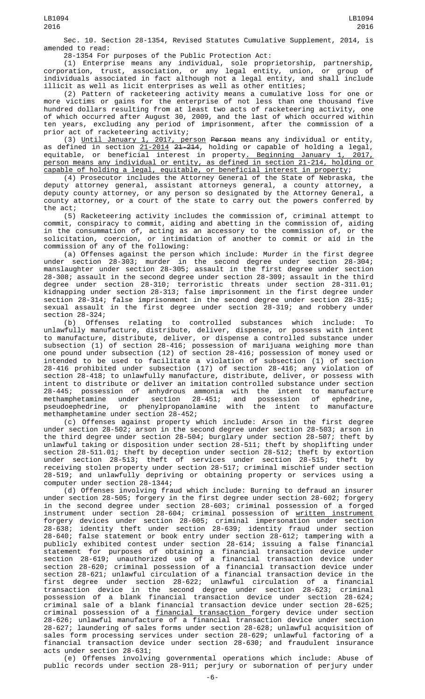Sec. 10. Section 28-1354, Revised Statutes Cumulative Supplement, 2014, is amended to read:

28-1354 For purposes of the Public Protection Act:

(1) Enterprise means any individual, sole proprietorship, partnership, corporation, trust, association, or any legal entity, union, or group of individuals associated in fact although not a legal entity, and shall include illicit as well as licit enterprises as well as other entities;

(2) Pattern of racketeering activity means a cumulative loss for one or more victims or gains for the enterprise of not less than one thousand five hundred dollars resulting from at least two acts of racketeering activity, one of which occurred after August 30, 2009, and the last of which occurred within ten years, excluding any period of imprisonment, after the commission of a prior act of racketeering activity;

(3) Until January 1, 2017, person Person means any individual or entity, as defined in section <u>21-2014</u> <del>21-214</del>, holding or capable of holding a legal, equitable, or beneficial interest in property. Beginning January 1, 2017, person means any individual or entity, as defined in section 21-214, holding or capable of holding a legal, equitable, or beneficial interest in property;

(4) Prosecutor includes the Attorney General of the State of Nebraska, the deputy attorney general, assistant attorneys general, a county attorney, a deputy county attorney, or any person so designated by the Attorney General, a county attorney, or a court of the state to carry out the powers conferred by the act;

(5) Racketeering activity includes the commission of, criminal attempt to commit, conspiracy to commit, aiding and abetting in the commission of, aiding in the consummation of, acting as an accessory to the commission of, or the solicitation, coercion, or intimidation of another to commit or aid in the commission of any of the following:

(a) Offenses against the person which include: Murder in the first degree under section 28-303; murder in the second degree under section 28-304; manslaughter under section 28-305; assault in the first degree under section 28-308; assault in the second degree under section 28-309; assault in the third degree under section 28-310; terroristic threats under section 28-311.01; kidnapping under section 28-313; false imprisonment in the first degree under section 28-314; false imprisonment in the second degree under section 28-315; sexual assault in the first degree under section 28-319; and robbery under section 28-324;

(b) Offenses relating to controlled substances which include: To unlawfully manufacture, distribute, deliver, dispense, or possess with intent to manufacture, distribute, deliver, or dispense a controlled substance under subsection (1) of section 28-416; possession of marijuana weighing more than one pound under subsection (12) of section 28-416; possession of money used or intended to be used to facilitate a violation of subsection (1) of section 28-416 prohibited under subsection (17) of section 28-416; any violation of section 28-418; to unlawfully manufacture, distribute, deliver, or possess with intent to distribute or deliver an imitation controlled substance under section 28-445; possession of anhydrous ammonia with the intent to manufacture methamphetamine under section 28-451; and possession of ephedrine, pseudoephedrine, or phenylpropanolamine with the intent to manufacture methamphetamine under section 28-452;

(c) Offenses against property which include: Arson in the first degree under section 28-502; arson in the second degree under section 28-503; arson in the third degree under section 28-504; burglary under section 28-507; theft by unlawful taking or disposition under section 28-511; theft by shoplifting under section 28-511.01; theft by deception under section 28-512; theft by extortion under section 28-513; theft of services under section 28-515; theft by receiving stolen property under section 28-517; criminal mischief under section 28-519; and unlawfully depriving or obtaining property or services using a computer under section 28-1344;

(d) Offenses involving fraud which include: Burning to defraud an insurer under section 28-505; forgery in the first degree under section 28-602; forgery in the second degree under section 28-603; criminal possession of a forged instrument under section 28-604; criminal possession of <u>written instrument</u> forgery devices under section 28-605; criminal impersonation under section 28-638; identity theft under section 28-639; identity fraud under section 28-640; false statement or book entry under section 28-612; tampering with a publicly exhibited contest under section 28-614; issuing a false financial statement for purposes of obtaining a financial transaction device under section 28-619; unauthorized use of a financial transaction device under section 28-620; criminal possession of a financial transaction device under section 28-621; unlawful circulation of a financial transaction device in the first degree under section 28-622; unlawful circulation of a financial transaction device in the second degree under section 28-623; criminal possession of a blank financial transaction device under section 28-624; criminal sale of a blank financial transaction device under section 28-625; criminal possession of a <u>financial transaction </u>forgery device under section 28-626; unlawful manufacture of a financial transaction device under section 28-627; laundering of sales forms under section 28-628; unlawful acquisition of sales form processing services under section 28-629; unlawful factoring of a financial transaction device under section 28-630; and fraudulent insurance acts under section 28-631;

(e) Offenses involving governmental operations which include: Abuse of public records under section 28-911; perjury or subornation of perjury under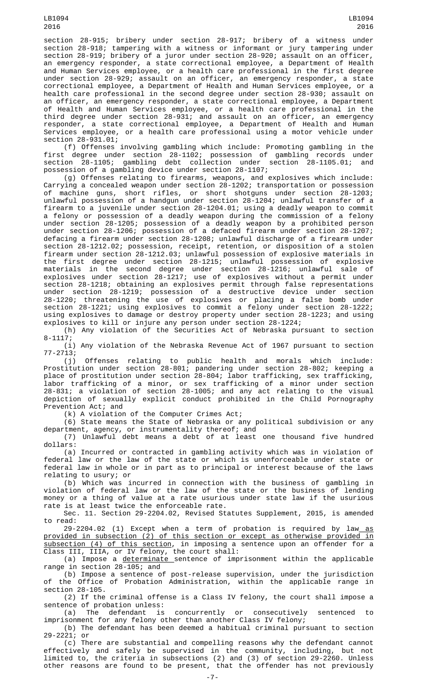section 28-915; bribery under section 28-917; bribery of a witness under section 28-918; tampering with a witness or informant or jury tampering under section 28-919; bribery of a juror under section 28-920; assault on an officer, an emergency responder, a state correctional employee, a Department of Health and Human Services employee, or a health care professional in the first degree under section 28-929; assault on an officer, an emergency responder, a state correctional employee, a Department of Health and Human Services employee, or a health care professional in the second degree under section 28-930; assault on an officer, an emergency responder, a state correctional employee, a Department of Health and Human Services employee, or a health care professional in the third degree under section 28-931; and assault on an officer, an emergency responder, a state correctional employee, a Department of Health and Human Services employee, or a health care professional using a motor vehicle under section 28-931.01;

(f) Offenses involving gambling which include: Promoting gambling in the first degree under section 28-1102; possession of gambling records under section 28-1105; gambling debt collection under section 28-1105.01; and possession of a gambling device under section 28-1107;

(g) Offenses relating to firearms, weapons, and explosives which include: Carrying a concealed weapon under section 28-1202; transportation or possession of machine guns, short rifles, or short shotguns under section 28-1203; unlawful possession of a handgun under section 28-1204; unlawful transfer of a firearm to a juvenile under section 28-1204.01; using a deadly weapon to commit a felony or possession of a deadly weapon during the commission of a felony under section 28-1205; possession of a deadly weapon by a prohibited person under section 28-1206; possession of a defaced firearm under section 28-1207; defacing a firearm under section 28-1208; unlawful discharge of a firearm under section 28-1212.02; possession, receipt, retention, or disposition of a stolen firearm under section 28-1212.03; unlawful possession of explosive materials in the first degree under section 28-1215; unlawful possession of explosive materials in the second degree under section 28-1216; unlawful sale of explosives under section 28-1217; use of explosives without a permit under section 28-1218; obtaining an explosives permit through false representations under section 28-1219; possession of a destructive device under section 28-1220; threatening the use of explosives or placing a false bomb under section 28-1221; using explosives to commit a felony under section 28-1222; using explosives to damage or destroy property under section 28-1223; and using explosives to kill or injure any person under section 28-1224;

(h) Any violation of the Securities Act of Nebraska pursuant to section 8-1117;

(i) Any violation of the Nebraska Revenue Act of 1967 pursuant to section 77-2713;

(j) Offenses relating to public health and morals which include: Prostitution under section 28-801; pandering under section 28-802; keeping a place of prostitution under section 28-804; labor trafficking, sex trafficking, labor trafficking of a minor, or sex trafficking of a minor under section 28-831; a violation of section 28-1005; and any act relating to the visual depiction of sexually explicit conduct prohibited in the Child Pornography Prevention Act; and

(k) A violation of the Computer Crimes Act;

(6) State means the State of Nebraska or any political subdivision or any department, agency, or instrumentality thereof; and

(7) Unlawful debt means a debt of at least one thousand five hundred dollars:

(a) Incurred or contracted in gambling activity which was in violation of federal law or the law of the state or which is unenforceable under state or federal law in whole or in part as to principal or interest because of the laws relating to usury; or

(b) Which was incurred in connection with the business of gambling in violation of federal law or the law of the state or the business of lending money or a thing of value at a rate usurious under state law if the usurious rate is at least twice the enforceable rate.

Sec. 11. Section 29-2204.02, Revised Statutes Supplement, 2015, is amended to read:

29-2204.02 (1) Except when a term of probation is required by law as provided in subsection (2) of this section or except as otherwise provided in subsection (4) of this section, in imposing a sentence upon an offender for a Class III, IIIA, or IV felony, the court shall:

(a) Impose a determinate sentence of imprisonment within the applicable range in section 28-105; and

(b) Impose a sentence of post-release supervision, under the jurisdiction of the Office of Probation Administration, within the applicable range in section 28-105.

(2) If the criminal offense is a Class IV felony, the court shall impose a sentence of probation unless:

(a) The defendant is concurrently or consecutively sentenced to imprisonment for any felony other than another Class IV felony;

(b) The defendant has been deemed a habitual criminal pursuant to section 29-2221; or

(c) There are substantial and compelling reasons why the defendant cannot effectively and safely be supervised in the community, including, but not limited to, the criteria in subsections (2) and (3) of section 29-2260. Unless other reasons are found to be present, that the offender has not previously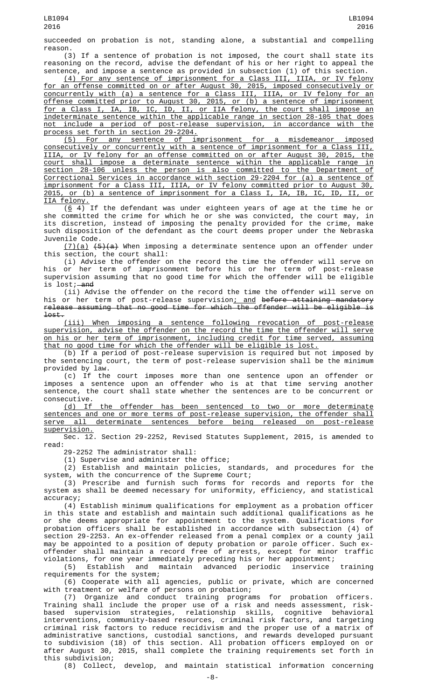succeeded on probation is not, standing alone, a substantial and compelling reason.

(3) If a sentence of probation is not imposed, the court shall state its reasoning on the record, advise the defendant of his or her right to appeal the sentence, and impose a sentence as provided in subsection (1) of this section.

(4) For any sentence of imprisonment for a Class III, IIIA, or IV felony for an offense committed on or after August 30, 2015, imposed consecutively or concurrently with (a) a sentence for a Class III, IIIA, or IV felony for an offense committed prior to August 30, 2015, or (b) a sentence of imprisonment for a Class I, IA, IB, IC, ID, II, or IIA felony, the court shall impose an indeterminate sentence within the applicable range in section 28-105 that does not include a period of post-release supervision, in accordance with the process set forth in section 29-2204.

(5) For any sentence of imprisonment for a misdemeanor imposed consecutively or concurrently with a sentence of imprisonment for a Class III, IIIA, or IV felony for an offense committed on or after August 30, 2015, the court shall impose a determinate sentence within the applicable range in section 28-106 unless the person is also committed to the Department of Correctional Services in accordance with section 29-2204 for (a) a sentence of imprisonment for a Class III, IIIA, or IV felony committed prior to August 30, 2015, or (b) a sentence of imprisonment for a Class I, IA, IB, IC, ID, II, or IIA felony.

 $(6 4)$  If the defendant was under eighteen years of age at the time he or she committed the crime for which he or she was convicted, the court may, in its discretion, instead of imposing the penalty provided for the crime, make such disposition of the defendant as the court deems proper under the Nebraska Juvenile Code.

 $(7)(a)$   $(5)(a)$  When imposing a determinate sentence upon an offender under this section, the court shall:

(i) Advise the offender on the record the time the offender will serve on his or her term of imprisonment before his or her term of post-release supervision assuming that no good time for which the offender will be eligible is lost; and

(ii) Advise the offender on the record the time the offender will serve on his or her term of post-release supervision; and before attaining mandatory release assuming that no good time for which the offender will be eligible is lost.

(iii) When imposing a sentence following revocation of post-release supervision, advise the offender on the record the time the offender will serve on his or her term of imprisonment, including credit for time served, assuming that no good time for which the offender will be eligible is lost.

(b) If a period of post-release supervision is required but not imposed by the sentencing court, the term of post-release supervision shall be the minimum provided by law.

(c) If the court imposes more than one sentence upon an offender or imposes a sentence upon an offender who is at that time serving another sentence, the court shall state whether the sentences are to be concurrent or

consecutive.<br>(d) If the offender has been sentenced to two or more determinate sentences and one or more terms of post-release supervision, the offender shall serve all determinate sentences before being released on post-release supervision.

Sec. 12. Section 29-2252, Revised Statutes Supplement, 2015, is amended to read:

29-2252 The administrator shall:

(1) Supervise and administer the office;

 $(2)$  Establish and maintain policies, standards, and procedures for the system, with the concurrence of the Supreme Court; system, with the concurrence of the Supreme Court;

(3) Prescribe and furnish such forms for records and reports for the system as shall be deemed necessary for uniformity, efficiency, and statistical accuracy;

(4) Establish minimum qualifications for employment as a probation officer in this state and establish and maintain such additional qualifications as he or she deems appropriate for appointment to the system. Qualifications for probation officers shall be established in accordance with subsection (4) of section 29-2253. An ex-offender released from a penal complex or a county jail may be appointed to a position of deputy probation or parole officer. Such exoffender shall maintain a record free of arrests, except for minor traffic violations, for one year immediately preceding his or her appointment;

(5) Establish and maintain advanced periodic inservice training requirements for the system;

(6) Cooperate with all agencies, public or private, which are concerned with treatment or welfare of persons on probation;

(7) Organize and conduct training programs for probation officers. Training shall include the proper use of a risk and needs assessment, riskbased supervision strategies, relationship skills, cognitive behavioral interventions, community-based resources, criminal risk factors, and targeting criminal risk factors to reduce recidivism and the proper use of a matrix of administrative sanctions, custodial sanctions, and rewards developed pursuant to subdivision (18) of this section. All probation officers employed on or after August 30, 2015, shall complete the training requirements set forth in this subdivision;

(8) Collect, develop, and maintain statistical information concerning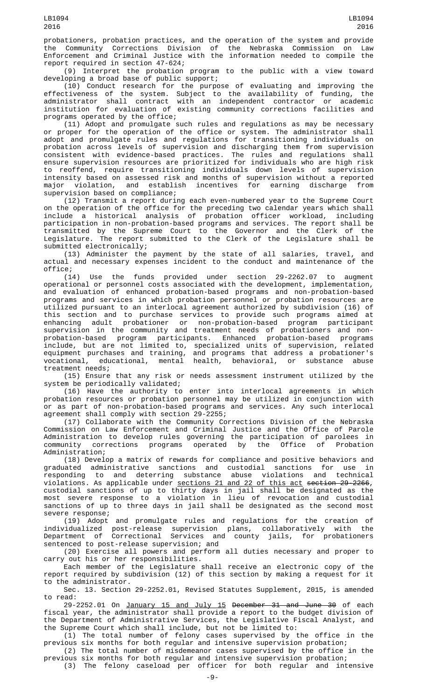probationers, probation practices, and the operation of the system and provide the Community Corrections Division of the Nebraska Commission on Law Enforcement and Criminal Justice with the information needed to compile the report required in section 47-624;

(9) Interpret the probation program to the public with a view toward developing a broad base of public support;

(10) Conduct research for the purpose of evaluating and improving the effectiveness of the system. Subject to the availability of funding, the administrator shall contract with an independent contractor or academic institution for evaluation of existing community corrections facilities and programs operated by the office;

(11) Adopt and promulgate such rules and regulations as may be necessary or proper for the operation of the office or system. The administrator shall adopt and promulgate rules and regulations for transitioning individuals on probation across levels of supervision and discharging them from supervision consistent with evidence-based practices. The rules and regulations shall ensure supervision resources are prioritized for individuals who are high risk to reoffend, require transitioning individuals down levels of supervision intensity based on assessed risk and months of supervision without a reported major violation, and establish incentives for earning discharge from major violation, and establi<br>supervision based on compliance;

(12) Transmit a report during each even-numbered year to the Supreme Court on the operation of the office for the preceding two calendar years which shall include a historical analysis of probation officer workload, including participation in non-probation-based programs and services. The report shall be transmitted by the Supreme Court to the Governor and the Clerk of the Legislature. The report submitted to the Clerk of the Legislature shall be submitted electronically;

(13) Administer the payment by the state of all salaries, travel, and actual and necessary expenses incident to the conduct and maintenance of the office;<br>(14)

(14) Use the funds provided under section 29-2262.07 to augment operational or personnel costs associated with the development, implementation, and evaluation of enhanced probation-based programs and non-probation-based programs and services in which probation personnel or probation resources are utilized pursuant to an interlocal agreement authorized by subdivision (16) of this section and to purchase services to provide such programs aimed at enhancing adult probationer or non-probation-based program participant supervision in the community and treatment needs of probationers and nonprobation-based program participants. Enhanced probation-based programs include, but are not limited to, specialized units of supervision, related equipment purchases and training, and programs that address a probationer's vocational, educational, mental health, behavioral, or substance abuse treatment needs;

(15) Ensure that any risk or needs assessment instrument utilized by the system be periodically validated;

(16) Have the authority to enter into interlocal agreements in which probation resources or probation personnel may be utilized in conjunction with or as part of non-probation-based programs and services. Any such interlocal agreement shall comply with section 29-2255;

(17) Collaborate with the Community Corrections Division of the Nebraska Commission on Law Enforcement and Criminal Justice and the Office of Parole Administration to develop rules governing the participation of parolees in community corrections programs operated by the Office of Probation Administration;

(18) Develop a matrix of rewards for compliance and positive behaviors and graduated administrative sanctions and custodial sanctions for use in responding to and deterring substance abuse violations and technical violations. As applicable under <u>sections 21 and 22 of this act</u> <del>section 29-2266</del>, custodial sanctions of up to thirty days in jail shall be designated as the most severe response to a violation in lieu of revocation and custodial sanctions of up to three days in jail shall be designated as the second most severe response;

(19) Adopt and promulgate rules and regulations for the creation of individualized post-release supervision plans, collaboratively with the Department of Correctional Services and county jails, for probationers sentenced to post-release supervision; and

(20) Exercise all powers and perform all duties necessary and proper to carry out his or her responsibilities.

Each member of the Legislature shall receive an electronic copy of the report required by subdivision (12) of this section by making a request for it to the administrator.

Sec. 13. Section 29-2252.01, Revised Statutes Supplement, 2015, is amended to read:

29-2252.01 On January 15 and July 15 December 31 and June 30 of each fiscal year, the administrator shall provide a report to the budget division of the Department of Administrative Services, the Legislative Fiscal Analyst, and the Supreme Court which shall include, but not be limited to:

(1) The total number of felony cases supervised by the office in the previous six months for both regular and intensive supervision probation;

(2) The total number of misdemeanor cases supervised by the office in the previous six months for both regular and intensive supervision probation; (3) The felony caseload per officer for both regular and intensive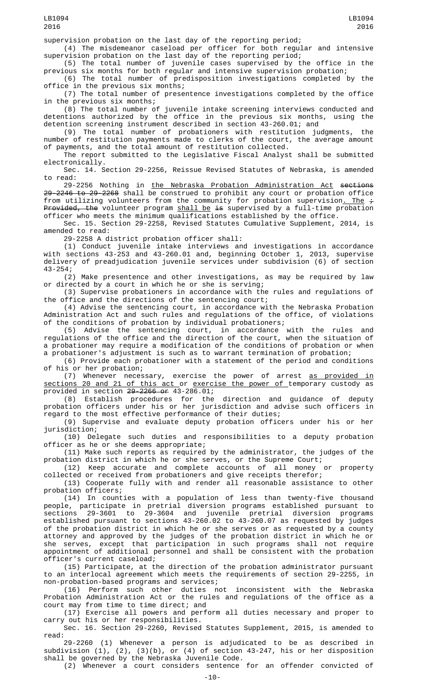supervision probation on the last day of the reporting period;

(4) The misdemeanor caseload per officer for both regular and intensive supervision probation on the last day of the reporting period;

(5) The total number of juvenile cases supervised by the office in the previous six months for both regular and intensive supervision probation;

(6) The total number of predisposition investigations completed by the office in the previous six months;

(7) The total number of presentence investigations completed by the office in the previous six months;

(8) The total number of juvenile intake screening interviews conducted and detentions authorized by the office in the previous six months, using the detention screening instrument described in section 43-260.01; and

(9) The total number of probationers with restitution judgments, the number of restitution payments made to clerks of the court, the average amount of payments, and the total amount of restitution collected.

The report submitted to the Legislative Fiscal Analyst shall be submitted electronically.

Sec. 14. Section 29-2256, Reissue Revised Statutes of Nebraska, is amended to read:

29-2256 Nothing in <u>the Nebraska Probation Administration Act</u> <del>sections</del> 29-2246 to 29-2268 shall be construed to prohibit any court or probation office from utilizing volunteers from the community for probation supervision. The  $\tau$ Provided, the volunteer program shall be is supervised by a full-time probation officer who meets the minimum qualifications established by the office.

Sec. 15. Section 29-2258, Revised Statutes Cumulative Supplement, 2014, is amended to read:

29-2258 A district probation officer shall:

(1) Conduct juvenile intake interviews and investigations in accordance with sections 43-253 and 43-260.01 and, beginning October 1, 2013, supervise delivery of preadjudication juvenile services under subdivision (6) of section 43-254;

(2) Make presentence and other investigations, as may be required by law or directed by a court in which he or she is serving;

(3) Supervise probationers in accordance with the rules and regulations of the office and the directions of the sentencing court;

(4) Advise the sentencing court, in accordance with the Nebraska Probation Administration Act and such rules and regulations of the office, of violations of the conditions of probation by individual probationers;

(5) Advise the sentencing court, in accordance with the rules and regulations of the office and the direction of the court, when the situation of a probationer may require a modification of the conditions of probation or when a probationer's adjustment is such as to warrant termination of probation;

(6) Provide each probationer with a statement of the period and conditions of his or her probation;

(7) Whenever necessary, exercise the power of arrest <u>as provided in</u> sections 20 and 21 of this act or exercise the power of temporary custody as provided in section 29-2266 or 43-286.01;

(8) Establish procedures for the direction and guidance of deputy probation officers under his or her jurisdiction and advise such officers in regard to the most effective performance of their duties;

(9) Supervise and evaluate deputy probation officers under his or her jurisdiction;

(10) Delegate such duties and responsibilities to a deputy probation officer as he or she deems appropriate;

(11) Make such reports as required by the administrator, the judges of the probation district in which he or she serves, or the Supreme Court;

(12) Keep accurate and complete accounts of all money or property collected or received from probationers and give receipts therefor;

(13) Cooperate fully with and render all reasonable assistance to other probation officers;

(14) In counties with a population of less than twenty-five thousand people, participate in pretrial diversion programs established pursuant to sections 29-3601 to 29-3604 and juvenile pretrial diversion programs established pursuant to sections 43-260.02 to 43-260.07 as requested by judges of the probation district in which he or she serves or as requested by a county attorney and approved by the judges of the probation district in which he or she serves, except that participation in such programs shall not require appointment of additional personnel and shall be consistent with the probation officer's current caseload;

(15) Participate, at the direction of the probation administrator pursuant to an interlocal agreement which meets the requirements of section 29-2255, in non-probation-based programs and services;

(16) Perform such other duties not inconsistent with the Nebraska Probation Administration Act or the rules and regulations of the office as a court may from time to time direct; and

(17) Exercise all powers and perform all duties necessary and proper to carry out his or her responsibilities.

Sec. 16. Section 29-2260, Revised Statutes Supplement, 2015, is amended to read:

29-2260 (1) Whenever a person is adjudicated to be as described in subdivision (1), (2), (3)(b), or (4) of section 43-247, his or her disposition shall be governed by the Nebraska Juvenile Code.

(2) Whenever a court considers sentence for an offender convicted of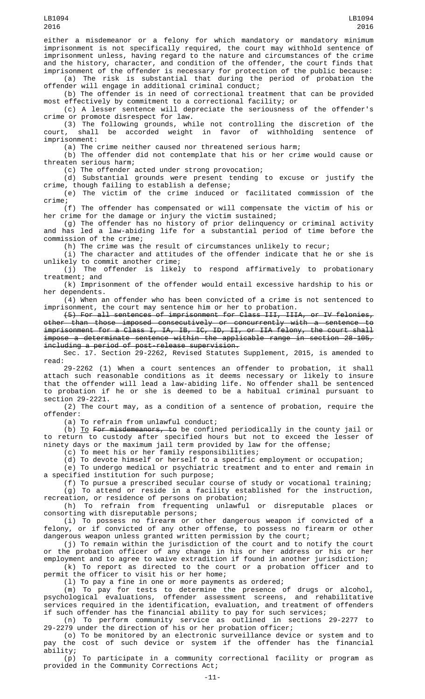either a misdemeanor or a felony for which mandatory or mandatory minimum imprisonment is not specifically required, the court may withhold sentence of imprisonment unless, having regard to the nature and circumstances of the crime and the history, character, and condition of the offender, the court finds that imprisonment of the offender is necessary for protection of the public because:

(a) The risk is substantial that during the period of probation the offender will engage in additional criminal conduct;

(b) The offender is in need of correctional treatment that can be provided most effectively by commitment to a correctional facility; or

(c) A lesser sentence will depreciate the seriousness of the offender's crime or promote disrespect for law.

(3) The following grounds, while not controlling the discretion of the court, shall be accorded weight in favor of withholding sentence of imprisonment:

(a) The crime neither caused nor threatened serious harm;

(b) The offender did not contemplate that his or her crime would cause or threaten serious harm;

(c) The offender acted under strong provocation;

(d) Substantial grounds were present tending to excuse or justify the crime, though failing to establish a defense;

(e) The victim of the crime induced or facilitated commission of the crime;

(f) The offender has compensated or will compensate the victim of his or her crime for the damage or injury the victim sustained;

(g) The offender has no history of prior delinquency or criminal activity and has led a law-abiding life for a substantial period of time before the commission of the crime;

(h) The crime was the result of circumstances unlikely to recur;

(i) The character and attitudes of the offender indicate that he or she is unlikely to commit another crime;<br>(j) The offender is likely

to respond affirmatively to probationary treatment; and

(k) Imprisonment of the offender would entail excessive hardship to his or her dependents.

(4) When an offender who has been convicted of a crime is not sentenced to imprisonment, the court may sentence him or her to probation.

(5) For all sentences of imprisonment for Class III, IIIA, or IV felonies, other than those imposed consecutively or concurrently with a sentence to imprisonment for a Class I, IA, IB, IC, ID, II, or IIA felony, the court shall impose a determinate sentence within the applicable range in section 28-105, including a period of post-release supervision.

Sec. 17. Section 29-2262, Revised Statutes Supplement, 2015, is amended to read:

29-2262 (1) When a court sentences an offender to probation, it shall attach such reasonable conditions as it deems necessary or likely to insure that the offender will lead a law-abiding life. No offender shall be sentenced to probation if he or she is deemed to be a habitual criminal pursuant to section 29-2221.

(2) The court may, as a condition of a sentence of probation, require the offender:

(a) To refrain from unlawful conduct;

(b) <u>To</u> F<del>or misdemeanors, to</del> be confined periodically in the county jail or to return to custody after specified hours but not to exceed the lesser of ninety days or the maximum jail term provided by law for the offense;

(c) To meet his or her family responsibilities;

(d) To devote himself or herself to a specific employment or occupation;

(e) To undergo medical or psychiatric treatment and to enter and remain in a specified institution for such purpose;

(f) To pursue a prescribed secular course of study or vocational training; (g) To attend or reside in a facility established for the instruction, recreation, or residence of persons on probation;

(h) To refrain from frequenting unlawful or disreputable places or consorting with disreputable persons;

(i) To possess no firearm or other dangerous weapon if convicted of a felony, or if convicted of any other offense, to possess no firearm or other dangerous weapon unless granted written permission by the court;

(j) To remain within the jurisdiction of the court and to notify the court or the probation officer of any change in his or her address or his or her employment and to agree to waive extradition if found in another jurisdiction;

(k) To report as directed to the court or a probation officer and to permit the officer to visit his or her home;

(l) To pay a fine in one or more payments as ordered;

(m) To pay for tests to determine the presence of drugs or alcohol, psychological evaluations, offender assessment screens, and rehabilitative services required in the identification, evaluation, and treatment of offenders if such offender has the financial ability to pay for such services;

(n) To perform community service as outlined in sections 29-2277 to 29-2279 under the direction of his or her probation officer;

(o) To be monitored by an electronic surveillance device or system and to pay the cost of such device or system if the offender has the financial ability;

(p) To participate in a community correctional facility or program as provided in the Community Corrections Act;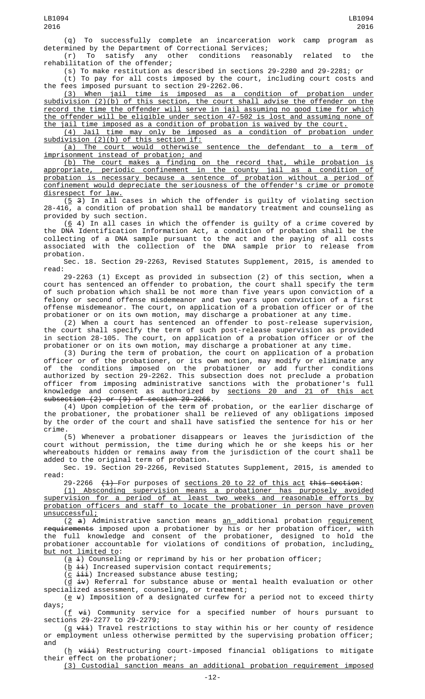(q) To successfully complete an incarceration work camp program as determined by the Department of Correctional Services;<br>(r) To satisfy any other conditions rease

satisfy any other conditions reasonably related to the rehabilitation of the offender;

(s) To make restitution as described in sections 29-2280 and 29-2281; or (t) To pay for all costs imposed by the court, including court costs and the fees imposed pursuant to section 29-2262.06.

(3) When jail time is imposed as a condition of probation under subdivision (2)(b) of this section, the court shall advise the offender on the record the time the offender will serve in jail assuming no good time for which the offender will be eligible under section 47-502 is lost and assuming none of the jail time imposed as a condition of probation is waived by the court.

(4) Jail time may only be imposed as a condition of probation under subdivision (2)(b) of this section if:<br>(a) The court would otherwise

sentence the defendant to a term of imprisonment instead of probation; and

(b) The court makes a finding on the record that, while probation is appropriate, periodic confinement in the county jail as a condition of probation is necessary because a sentence of probation without a period of confinement would depreciate the seriousness of the offender's crime or promote disrespect for law.

 $(5, 3)$  In all cases in which the offender is guilty of violating section 28-416, a condition of probation shall be mandatory treatment and counseling as provided by such section.

(6 4) In all cases in which the offender is guilty of a crime covered by the DNA Identification Information Act, a condition of probation shall be the collecting of a DNA sample pursuant to the act and the paying of all costs associated with the collection of the DNA sample prior to release from probation.

Sec. 18. Section 29-2263, Revised Statutes Supplement, 2015, is amended to read:

29-2263 (1) Except as provided in subsection (2) of this section, when a court has sentenced an offender to probation, the court shall specify the term of such probation which shall be not more than five years upon conviction of a felony or second offense misdemeanor and two years upon conviction of a first offense misdemeanor. The court, on application of a probation officer or of the probationer or on its own motion, may discharge a probationer at any time.

(2) When a court has sentenced an offender to post-release supervision, the court shall specify the term of such post-release supervision as provided in section 28-105. The court, on application of a probation officer or of the probationer or on its own motion, may discharge a probationer at any time.

(3) During the term of probation, the court on application of a probation officer or of the probationer, or its own motion, may modify or eliminate any of the conditions imposed on the probationer or add further conditions authorized by section 29-2262. This subsection does not preclude a probation officer from imposing administrative sanctions with the probationer's full knowledge and consent as authorized by <u>sections 20 and 21 of this act</u> subsection (2) or (9) of section 29-2266.

(4) Upon completion of the term of probation, or the earlier discharge of the probationer, the probationer shall be relieved of any obligations imposed by the order of the court and shall have satisfied the sentence for his or her crime.

(5) Whenever a probationer disappears or leaves the jurisdiction of the court without permission, the time during which he or she keeps his or her whereabouts hidden or remains away from the jurisdiction of the court shall be added to the original term of probation.

Sec. 19. Section 29-2266, Revised Statutes Supplement, 2015, is amended to read:

 $29-2266$   $(1)$  For purposes of <u>sections 20 to 22 of this act</u> this section:

(1) Absconding supervision means a probationer has purposely avoided supervision for a period of at least two weeks and reasonable efforts by probation officers and staff to locate the probationer in person have proven unsuccessful;

(2 a) Administrative sanction means an additional probation requirement requirements imposed upon a probationer by his or her probation officer, with the full knowledge and consent of the probationer, designed to hold the probationer accountable for violations of conditions of probation, including<u>,</u> but not limited to:

 $(a \pm)$  Counseling or reprimand by his or her probation officer;

 $(\overline{b} \pm i)$  Increased supervision contact requirements;

 $(c \pm i\pm i)$  Increased substance abuse testing;

 $(d \pm v)$  Referral for substance abuse or mental health evaluation or other specialized assessment, counseling, or treatment;

(e  $\varphi$ ) Imposition of a designated curfew for a period not to exceed thirty days;

 $(f \leftrightarrow i)$  Community service for a specified number of hours pursuant to sections 29-2277 to 29-2279;

(g  $v\pm i$ ) Travel restrictions to stay within his or her county of residence or employment unless otherwise permitted by the supervising probation officer; and

 $(\underline{h}$   $\overline{v}$   $\overline{u}$  Restructuring court-imposed financial obligations to mitigate their effect on the probationer;

(3) Custodial sanction means an additional probation requirement imposed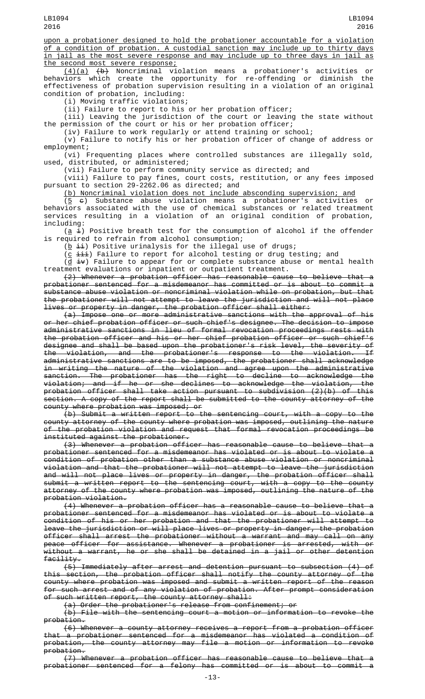upon a probationer designed to hold the probationer accountable for a violation of a condition of probation. A custodial sanction may include up to thirty days in jail as the most severe response and may include up to three days in jail as the second most severe response;

(4)(a) (b) Noncriminal violation means a probationer's activities or behaviors which create the opportunity for re-offending or diminish the effectiveness of probation supervision resulting in a violation of an original condition of probation, including:

(i) Moving traffic violations;

(ii) Failure to report to his or her probation officer;

(iii) Leaving the jurisdiction of the court or leaving the state without the permission of the court or his or her probation officer;

(iv) Failure to work regularly or attend training or school;

(v) Failure to notify his or her probation officer of change of address or<br>employment; employment;

(vi) Frequenting places where controlled substances are illegally sold, used, distributed, or administered;

(vii) Failure to perform community service as directed; and

(viii) Failure to pay fines, court costs, restitution, or any fees imposed pursuant to section 29-2262.06 as directed; and

(b) Noncriminal violation does not include absconding supervision; and

 $(5 \epsilon)$  Substance abuse violation means a probationer's activities or behaviors associated with the use of chemical substances or related treatment services resulting in a violation of an original condition of probation, including:

 $(\underline{a} i)$  Positive breath test for the consumption of alcohol if the offender is required to refrain from alcohol consumption;

 $(\underline{b} \pm i)$  Positive urinalysis for the illegal use of drugs;

(<u>c</u>  $\pm\pm\pm$ ) Failure to report for alcohol testing or drug testing; and

(<u>d</u>  $\pm$ **v**) Failure to appear for or complete substance abuse or mental health treatment evaluations or inpatient or outpatient treatment.

(2) Whenever a probation officer has reasonable cause to believe that a probationer sentenced for a misdemeanor has committed or is about to commit a substance abuse violation or noncriminal violation while on probation, but that the probationer will not attempt to leave the jurisdiction and will not place lives or property in danger, the probation officer shall either:

(a) Impose one or more administrative sanctions with the approval of his or her chief probation officer or such chief's designee. The decision to impose administrative sanctions in lieu of formal revocation proceedings rests with the probation officer and his or her chief probation officer or such chief's designee and shall be based upon the probationer's risk level, the severity of the violation, and the probationer's response to the violation. If administrative sanctions are to be imposed, the probationer shall acknowledge in writing the nature of the violation and agree upon the administrative sanction. The probationer has the right to decline to acknowledge the violation; and if he or she declines to acknowledge the violation, the probation officer shall take action pursuant to subdivision (2)(b) of this section. A copy of the report shall be submitted to the county attorney of the county where probation was imposed; or

(b) Submit a written report to the sentencing court, with a copy to the county attorney of the county where probation was imposed, outlining the nature of the probation violation and request that formal revocation proceedings be instituted against the probationer.

(3) Whenever a probation officer has reasonable cause to believe that a probationer sentenced for a misdemeanor has violated or is about to violate a condition of probation other than a substance abuse violation or noncriminal violation and that the probationer will not attempt to leave the jurisdiction and will not place lives or property in danger, the probation officer shall submit a written report to the sentencing court, with a copy to the county attorney of the county where probation was imposed, outlining the nature of the probation violation.

(4) Whenever a probation officer has a reasonable cause to believe that a probationer sentenced for a misdemeanor has violated or is about to violate a condition of his or her probation and that the probationer will attempt to leave the jurisdiction or will place lives or property in danger, the probation officer shall arrest the probationer without a warrant and may call on any peace officer for assistance. Whenever a probationer is arrested, with or without a warrant, he or she shall be detained in a jail or other detention facility.

(5) Immediately after arrest and detention pursuant to subsection (4) of this section, the probation officer shall notify the county attorney of the county where probation was imposed and submit a written report of the reason for such arrest and of any violation of probation. After prompt consideration of such written report, the county attorney shall:

(a) Order the probationer's release from confinement; or

(b) File with the sentencing court a motion or information to revoke the probation.

(6) Whenever a county attorney receives a report from a probation officer that a probationer sentenced for a misdemeanor has violated a condition of probation, the county attorney may file a motion or information to revoke probation.

(7) Whenever a probation officer has reasonable cause to believe that a probationer sentenced for a felony has committed or is about to commit a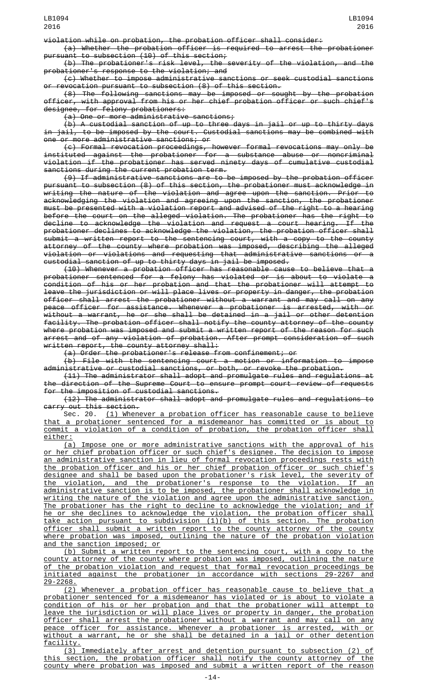violation while on probation, the probation officer shall consider:

(a) Whether the probation officer is required to arrest the probationer pursuant to subsection (10) of this section;

(b) The probationer's risk level, the severity of the violation, and the probationer's response to the violation; and

(c) Whether to impose administrative sanctions or seek custodial sanctions or revocation pursuant to subsection (8) of this section.

(8) The following sanctions may be imposed or sought by the probation officer, with approval from his or her chief probation officer or such chief's designee, for felony probationers:

(a) One or more administrative sanctions;

(b) A custodial sanction of up to three days in jail or up to thirty days in jail, to be imposed by the court. Custodial sanctions may be combined with one or more administrative sanctions; or

(c) Formal revocation proceedings, however formal revocations may only be instituted against the probationer for a substance abuse or noncriminal violation if the probationer has served ninety days of cumulative custodial sanctions during the current probation term.

(9) If administrative sanctions are to be imposed by the probation officer pursuant to subsection (8) of this section, the probationer must acknowledge in writing the nature of the violation and agree upon the sanction. Prior to acknowledging the violation and agreeing upon the sanction, the probationer must be presented with a violation report and advised of the right to a hearing before the court on the alleged violation. The probationer has the right to decline to acknowledge the violation and request a court hearing. If the probationer declines to acknowledge the violation, the probation officer shall submit a written report to the sentencing court, with a copy to the county attorney of the county where probation was imposed, describing the alleged violation or violations and requesting that administrative sanctions or a custodial sanction of up to thirty days in jail be imposed.

(10) Whenever a probation officer has reasonable cause to believe that a probationer sentenced for a felony has violated or is about to violate a condition of his or her probation and that the probationer will attempt to leave the jurisdiction or will place lives or property in danger, the probation officer shall arrest the probationer without a warrant and may call on any peace officer for assistance. Whenever a probationer is arrested, with or without a warrant, he or she shall be detained in a jail or other detention facility. The probation officer shall notify the county attorney of the county where probation was imposed and submit a written report of the reason for such arrest and of any violation of probation. After prompt consideration of such written report, the county attorney shall:

(a) Order the probationer's release from confinement; or

(b) File with the sentencing court a motion or information to impose administrative or custodial sanctions, or both, or revoke the probation.

(11) The administrator shall adopt and promulgate rules and regulations at the direction of the Supreme Court to ensure prompt court review of requests for the imposition of custodial sanctions.

(12) The administrator shall adopt and promulgate rules and regulations to carry out this section.

Sec. 20. (1) Whenever a probation officer has reasonable cause to believe that a probationer sentenced for a misdemeanor has committed or is about to commit a violation of a condition of probation, the probation officer shall either:

(a) Impose one or more administrative sanctions with the approval of his or her chief probation officer or such chief's designee. The decision to impose an administrative sanction in lieu of formal revocation proceedings rests with the probation officer and his or her chief probation officer or such chief's designee and shall be based upon the probationer's risk level, the severity of the violation, and the probationer's response to the violation. If an administrative sanction is to be imposed, the probationer shall acknowledge in writing the nature of the violation and agree upon the administrative sanction. The probationer has the right to decline to acknowledge the violation; and if he or she declines to acknowledge the violation, the probation officer shall take action pursuant to subdivision (1)(b) of this section. The probation officer shall submit a written report to the county attorney of the county where probation was imposed, outlining the nature of the probation violation and the sanction imposed; or

(b) Submit a written report to the sentencing court, with a copy to the county attorney of the county where probation was imposed, outlining the nature of the probation violation and request that formal revocation proceedings be initiated against the probationer in accordance with sections 29-2267 and 29-2268.

(2) Whenever a probation officer has reasonable cause to believe that a probationer sentenced for a misdemeanor has violated or is about to violate a condition of his or her probation and that the probationer will attempt to leave the jurisdiction or will place lives or property in danger, the probation officer shall arrest the probationer without a warrant and may call on any peace officer for assistance. Whenever a probationer is arrested, with or without a warrant, he or she shall be detained in a jail or other detention <u>facility.</u>

(3) Immediately after arrest and detention pursuant to subsection (2) of this section, the probation officer shall notify the county attorney of the county where probation was imposed and submit a written report of the reason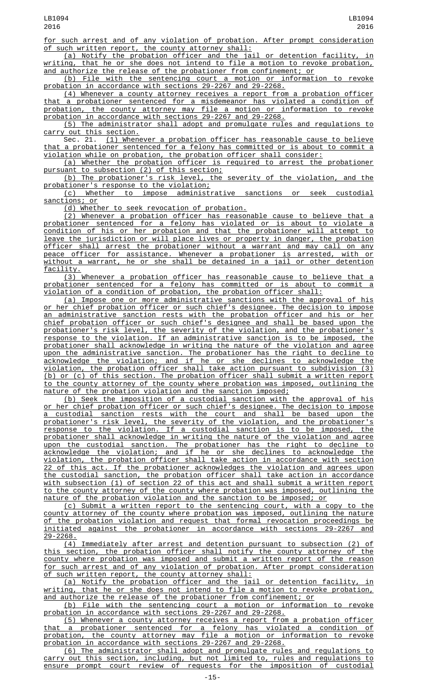for such arrest and of any violation of probation. After prompt consideration of such written report, the county attorney shall:

(a) Notify the probation officer and the jail or detention facility, in writing, that he or she does not intend to file a motion to revoke probation, and authorize the release of the probationer from confinement; or

(b) File with the sentencing court a motion or information to revoke probation in accordance with sections 29-2267 and 29-2268.

(4) Whenever a county attorney receives a report from a probation officer that a probationer sentenced for a misdemeanor has violated a condition of probation, the county attorney may file a motion or information to revoke probation in accordance with sections 29-2267 and 29-2268.

(5) The administrator shall adopt and promulgate rules and regulations to carry out this section.

Sec. 21. (1) Whenever a probation officer has reasonable cause to believe that a probationer sentenced for a felony has committed or is about to commit a violation while on probation, the probation officer shall consider:

(a) Whether the probation officer is required to arrest the probationer pursuant to subsection (2) of this section;

(b) The probationer's risk level, the severity of the violation, and the probationer's response to the violation;

(c) Whether to impose administrative sanctions or seek custodial sanctions; or

(d) Whether to seek revocation of probation.

(2) Whenever a probation officer has reasonable cause to believe that a probationer sentenced for a felony has violated or is about to violate a condition of his or her probation and that the probationer will attempt to leave the jurisdiction or will place lives or property in danger, the probation officer shall arrest the probationer without a warrant and may call on any peace officer for assistance. Whenever a probationer is arrested, with or without a warrant, he or she shall be detained in a jail or other detention facility.

(3) Whenever a probation officer has reasonable cause to believe that a probationer sentenced for a felony has committed or is about to commit a violation of a condition of probation, the probation officer shall:

(a) Impose one or more administrative sanctions with the approval of his or her chief probation officer or such chief's designee. The decision to impose an administrative sanction rests with the probation officer and his or her chief probation officer or such chief's designee and shall be based upon the probationer's risk level, the severity of the violation, and the probationer's response to the violation. If an administrative sanction is to be imposed, the probationer shall acknowledge in writing the nature of the violation and agree upon the administrative sanction. The probationer has the right to decline to acknowledge the violation; and if he or she declines to acknowledge the violation, the probation officer shall take action pursuant to subdivision (3) (b) or (c) of this section. The probation officer shall submit a written report to the county attorney of the county where probation was imposed, outlining the nature of the probation violation and the sanction imposed;

(b) Seek the imposition of a custodial sanction with the approval of his or her chief probation officer or such chief's designee. The decision to impose custodial sanction rests with the court and shall be based upon the probationer's risk level, the severity of the violation, and the probationer's response to the violation. If a custodial sanction is to be imposed, the probationer shall acknowledge in writing the nature of the violation and agree upon the custodial sanction. The probationer has the right to decline to acknowledge the violation; and if he or she declines to acknowledge the violation, the probation officer shall take action in accordance with section 22 of this act. If the probationer acknowledges the violation and agrees upon the custodial sanction, the probation officer shall take action in accordance with subsection (1) of section 22 of this act and shall submit a written report to the county attorney of the county where probation was imposed, outlining the nature of the probation violation and the sanction to be imposed; or

(c) Submit a written report to the sentencing court, with a copy to the county attorney of the county where probation was imposed, outlining the nature of the probation violation and request that formal revocation proceedings be initiated against the probationer in accordance with sections 29-2267 and 29-2268.

(4) Immediately after arrest and detention pursuant to subsection (2) of this section, the probation officer shall notify the county attorney of the county where probation was imposed and submit a written report of the reason for such arrest and of any violation of probation. After prompt consideration of such written report, the county attorney shall:

(a) Notify the probation officer and the jail or detention facility, in writing, that he or she does not intend to file a motion to revoke probation, and authorize the release of the probationer from confinement; or

(b) File with the sentencing court a motion or information to revoke probation in accordance with sections 29-2267 and 29-2268.

(5) Whenever a county attorney receives a report from a probation officer that a probationer sentenced for a felony has violated a condition of probation, the county attorney may file a motion or information to revoke probation in accordance with sections 29-2267 and 29-2268.

(6) The administrator shall adopt and promulgate rules and regulations to carry out this section, including, but not limited to, rules and regulations to ensure prompt court review of requests for the imposition of custodial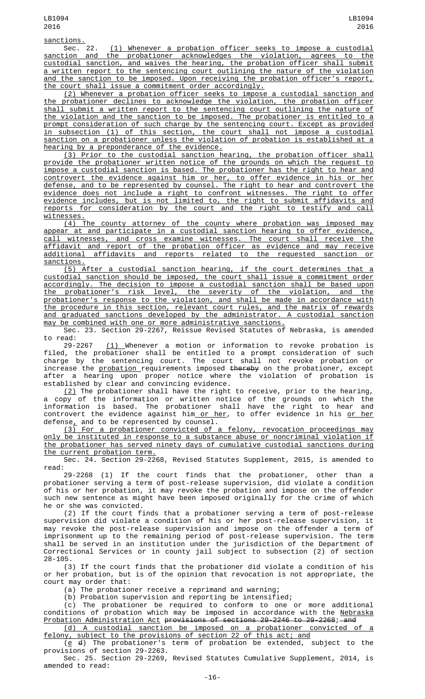sanctions.<br>Sec. 22. Sec. 22. <u>(1) Whenever a probation officer seeks to impose a custodial</u> sanction and the probationer acknowledges the violation, agrees to the custodial sanction, and waives the hearing, the probation officer shall submit a written report to the sentencing court outlining the nature of the violation and the sanction to be imposed. Upon receiving the probation officer's report, the court shall issue a commitment order accordingly.

(2) Whenever a probation officer seeks to impose a custodial sanction and the probationer declines to acknowledge the violation, the probation officer shall submit a written report to the sentencing court outlining the nature of the violation and the sanction to be imposed. The probationer is entitled to a prompt consideration of such charge by the sentencing court. Except as provided in subsection (1) of this section, the court shall not impose a custodial sanction on a probationer unless the violation of probation is established at a hearing by a preponderance of the evidence.

(3) Prior to the custodial sanction hearing, the probation officer shall provide the probationer written notice of the grounds on which the request to impose a custodial sanction is based. The probationer has the right to hear and controvert the evidence against him or her, to offer evidence in his or her defense, and to be represented by counsel. The right to hear and controvert the evidence does not include a right to confront witnesses. The right to offer evidence includes, but is not limited to, the right to submit affidavits and reports for consideration by the court and the right to testify and call witnesses.

(4) The county attorney of the county where probation was imposed may appear at and participate in a custodial sanction hearing to offer evidence, call witnesses, and cross examine witnesses. The court shall receive the affidavit and report of the probation officer as evidence and may receive additional affidavits and reports related to the requested sanction or sanctions.

(5) After a custodial sanction hearing, if the court determines that a custodial sanction should be imposed, the court shall issue a commitment order accordingly. The decision to impose a custodial sanction shall be based upon the probationer's risk level, the severity of the violation, and the probationer's response to the violation, and shall be made in accordance with the procedure in this section, relevant court rules, and the matrix of rewards and graduated sanctions developed by the administrator. A custodial sanction may be combined with one or more administrative sanctions.

Sec. 23. Section 29-2267, Reissue Revised Statutes of Nebraska, is amended to read:

29-2267 <u>(1) </u>Whenever a motion or information to revoke probation is filed, the probationer shall be entitled to a prompt consideration of such charge by the sentencing court. The court shall not revoke probation or increase the <u>probation </u>requirements imposed <del>thereby</del> on the probationer, except after a hearing upon proper notice where the violation of probation is established by clear and convincing evidence.

 $(2)$  The probationer shall have the right to receive, prior to the hearing, a copy of the information or written notice of the grounds on which the information is based. The probationer shall have the right to hear and controvert the evidence against him<u> or her</u>, to offer evidence in his <u>or her</u>  $defense<sub>L</sub>$  and to be represented by counsel.

(3) For a probationer convicted of a felony, revocation proceedings may only be instituted in response to a substance abuse or noncriminal violation if the probationer has served ninety days of cumulative custodial sanctions during the current probation term.

Sec. 24. Section 29-2268, Revised Statutes Supplement, 2015, is amended to read:

29-2268 (1) If the court finds that the probationer, other than a probationer serving a term of post-release supervision, did violate a condition of his or her probation, it may revoke the probation and impose on the offender such new sentence as might have been imposed originally for the crime of which he or she was convicted.

(2) If the court finds that a probationer serving a term of post-release supervision did violate a condition of his or her post-release supervision, it may revoke the post-release supervision and impose on the offender a term of imprisonment up to the remaining period of post-release supervision. The term shall be served in an institution under the jurisdiction of the Department of Correctional Services or in county jail subject to subsection (2) of section 28-105.

(3) If the court finds that the probationer did violate a condition of his or her probation, but is of the opinion that revocation is not appropriate, the court may order that:

(a) The probationer receive a reprimand and warning;

(b) Probation supervision and reporting be intensified;

(c) The probationer be required to conform to one or more additional conditions of probation which may be imposed in accordance with the <u>Nebraska</u> Probation Administration Act provisions of sections 29-2246 to 29-2268; and

(d) A custodial sanction be imposed on a probationer convicted of a felony, subject to the provisions of section 22 of this act; and

 $(e \theta)$  The probationer's term of probation be extended, subject to the provisions of section 29-2263.

Sec. 25. Section 29-2269, Revised Statutes Cumulative Supplement, 2014, is amended to read: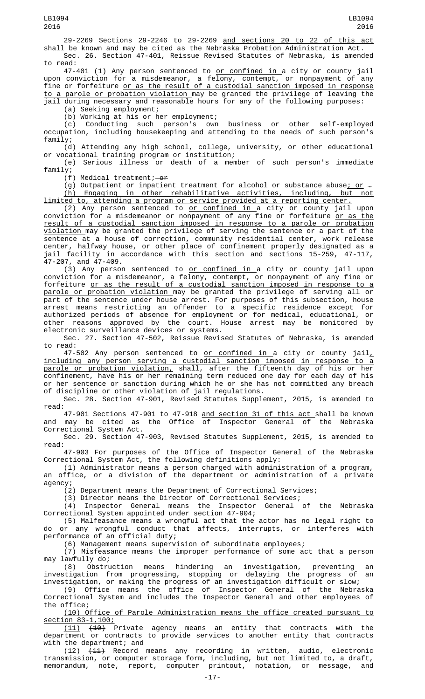29-2269 Sections 29-2246 to 29-2269 and sections 20 to 22 of this act shall be known and may be cited as the Nebraska Probation Administration Act. Sec. 26. Section 47-401, Reissue Revised Statutes of Nebraska, is amended to read:

47-401 (1) Any person sentenced to <u>or confined in </u>a city or county jail upon conviction for a misdemeanor, a felony, contempt, or nonpayment of any fine or forfeiture <u>or as the result of a custodial sanction imposed in response</u> to a parole or probation violation may be granted the privilege of leaving the jail during necessary and reasonable hours for any of the following purposes:

(a) Seeking employment;

(b) Working at his or her employment;

(c) Conducting such person's own business or other self-employed occupation, including housekeeping and attending to the needs of such person's family;

(d) Attending any high school, college, university, or other educational or vocational training program or institution;

(e) Serious illness or death of a member of such person's immediate family;

 $(f)$  Medical treatment; - or

(g) Outpatient or inpatient treatment for alcohol or substance abuse<u>; or</u>  $\overline{z}$ (h) Engaging in other rehabilitative activities, including, but not limited to, attending a program or service provided at a reporting center.

(2) Any person sentenced to or confined in a city or county jail upon conviction for a misdemeanor or nonpayment of any fine or forfeiture <u>or as the</u> result of a custodial sanction imposed in response to a parole or probation violation may be granted the privilege of serving the sentence or a part of the sentence at a house of correction, community residential center, work release center, halfway house, or other place of confinement properly designated as a jail facility in accordance with this section and sections 15-259, 47-117, 47-207, and 47-409.

(3) Any person sentenced to or confined in a city or county jail upon conviction for a misdemeanor, a felony, contempt, or nonpayment of any fine or forfeiture or as the result of a custodial sanction imposed in response to a parole or probation violation may be granted the privilege of serving all or part of the sentence under house arrest. For purposes of this subsection, house arrest means restricting an offender to a specific residence except for authorized periods of absence for employment or for medical, educational, or other reasons approved by the court. House arrest may be monitored by electronic surveillance devices or systems.

Sec. 27. Section 47-502, Reissue Revised Statutes of Nebraska, is amended to read:

 $47-502$  Any person sentenced to <u>or confined in a</u> city or county jail<sub> $\sim$ </sub> including any person serving a custodial sanction imposed in response to a parole or probation violation, shall, after the fifteenth day of his or her confinement, have his or her remaining term reduced one day for each day of his or her sentence or sanction during which he or she has not committed any breach of discipline or other violation of jail regulations.

Sec. 28. Section 47-901, Revised Statutes Supplement, 2015, is amended to read:

47-901 Sections 47-901 to 47-918 <u>and section 31 of this act </u>shall be known and may be cited as the Office of Inspector General of the Nebraska Correctional System Act.

Sec. 29. Section 47-903, Revised Statutes Supplement, 2015, is amended to read:

47-903 For purposes of the Office of Inspector General of the Nebraska Correctional System Act, the following definitions apply:

(1) Administrator means a person charged with administration of a program, an office, or a division of the department or administration of a private agency;

(2) Department means the Department of Correctional Services;

(3) Director means the Director of Correctional Services;

(4) Inspector General means the Inspector General of the Nebraska Correctional System appointed under section 47-904;

(5) Malfeasance means a wrongful act that the actor has no legal right to do or any wrongful conduct that affects, performance of an official duty;

(6) Management means supervision of subordinate employees;

(7) Misfeasance means the improper performance of some act that a person may lawfully do;

(8) Obstruction means hindering an investigation, preventing an investigation from progressing, stopping or delaying the progress of an investigation, or making the progress of an investigation difficult or slow;

(9) Office means the office of Inspector General of the Nebraska Correctional System and includes the Inspector General and other employees of the office;

(10) Office of Parole Administration means the office created pursuant to section 83-1,100;

(11) (10) Private agency means an entity that contracts with the department or contracts to provide services to another entity that contracts with the department; and

(12) (11) Record means any recording in written, audio, electronic transmission, or computer storage form, including, but not limited to, a draft, memorandum, note, report, computer printout, notation, or message, and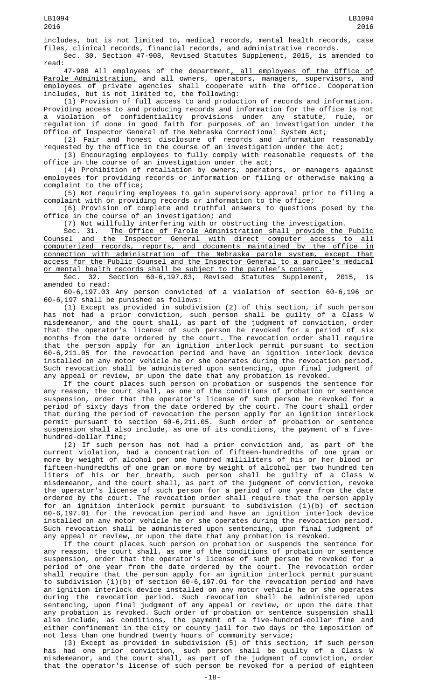includes, but is not limited to, medical records, mental health records, case files, clinical records, financial records, and administrative records. Sec. 30. Section 47-908, Revised Statutes Supplement, 2015, is amended to

read:

47-908 All employees of the department<u>, all employees of the Office of</u> Parole Administration, and all owners, operators, managers, supervisors, and employees of private agencies shall cooperate with the office. Cooperation includes, but is not limited to, the following:

(1) Provision of full access to and production of records and information. Providing access to and producing records and information for the office is not a violation of confidentiality provisions under any statute, rule, or regulation if done in good faith for purposes of an investigation under the Office of Inspector General of the Nebraska Correctional System Act;

(2) Fair and honest disclosure of records and information reasonably requested by the office in the course of an investigation under the act;

(3) Encouraging employees to fully comply with reasonable requests of the office in the course of an investigation under the act;

(4) Prohibition of retaliation by owners, operators, or managers against employees for providing records or information or filing or otherwise making a complaint to the office;

(5) Not requiring employees to gain supervisory approval prior to filing a complaint with or providing records or information to the office;

(6) Provision of complete and truthful answers to questions posed by the office in the course of an investigation; and

(7) Not willfully interfering with or obstructing the investigation.<br>Sec. 31. The Office of Parole Administration shall provide the

The Office of Parole Administration shall provide the Public Counsel and the Inspector General with direct computer access to all computerized records, reports, and documents maintained by the office in connection with administration of the Nebraska parole system, except that access for the Public Counsel and the Inspector General to a parolee's medical or mental health records shall be subject to the parolee's consent.

Sec. 32. Section 60-6,197.03, Revised Statutes Supplement, 2015, is amended to read:

60-6,197.03 Any person convicted of a violation of section 60-6,196 or 60-6,197 shall be punished as follows:

(1) Except as provided in subdivision (2) of this section, if such person has not had a prior conviction, such person shall be guilty of a Class W misdemeanor, and the court shall, as part of the judgment of conviction, order that the operator's license of such person be revoked for a period of six months from the date ordered by the court. The revocation order shall require that the person apply for an ignition interlock permit pursuant to section 60-6,211.05 for the revocation period and have an ignition interlock device installed on any motor vehicle he or she operates during the revocation period. Such revocation shall be administered upon sentencing, upon final judgment of any appeal or review, or upon the date that any probation is revoked.

If the court places such person on probation or suspends the sentence for any reason, the court shall, as one of the conditions of probation or sentence suspension, order that the operator's license of such person be revoked for a period of sixty days from the date ordered by the court. The court shall order that during the period of revocation the person apply for an ignition interlock permit pursuant to section 60-6,211.05. Such order of probation or sentence suspension shall also include, as one of its conditions, the payment of a fivehundred-dollar fine;

(2) If such person has not had a prior conviction and, as part of the current violation, had a concentration of fifteen-hundredths of one gram or more by weight of alcohol per one hundred milliliters of his or her blood or fifteen-hundredths of one gram or more by weight of alcohol per two hundred ten liters of his or her breath, such person shall be guilty of a Class W misdemeanor, and the court shall, as part of the judgment of conviction, revoke the operator's license of such person for a period of one year from the date ordered by the court. The revocation order shall require that the person apply for an ignition interlock permit pursuant to subdivision (1)(b) of section 60-6,197.01 for the revocation period and have an ignition interlock device installed on any motor vehicle he or she operates during the revocation period. Such revocation shall be administered upon sentencing, upon final judgment of any appeal or review, or upon the date that any probation is revoked.

If the court places such person on probation or suspends the sentence for any reason, the court shall, as one of the conditions of probation or sentence suspension, order that the operator's license of such person be revoked for a period of one year from the date ordered by the court. The revocation order shall require that the person apply for an ignition interlock permit pursuant to subdivision (1)(b) of section 60-6,197.01 for the revocation period and have an ignition interlock device installed on any motor vehicle he or she operates during the revocation period. Such revocation shall be administered upon sentencing, upon final judgment of any appeal or review, or upon the date that any probation is revoked. Such order of probation or sentence suspension shall also include, as conditions, the payment of a five-hundred-dollar fine and either confinement in the city or county jail for two days or the imposition of not less than one hundred twenty hours of community service;

(3) Except as provided in subdivision (5) of this section, if such person has had one prior conviction, such person shall be guilty of a Class W misdemeanor, and the court shall, as part of the judgment of conviction, order that the operator's license of such person be revoked for a period of eighteen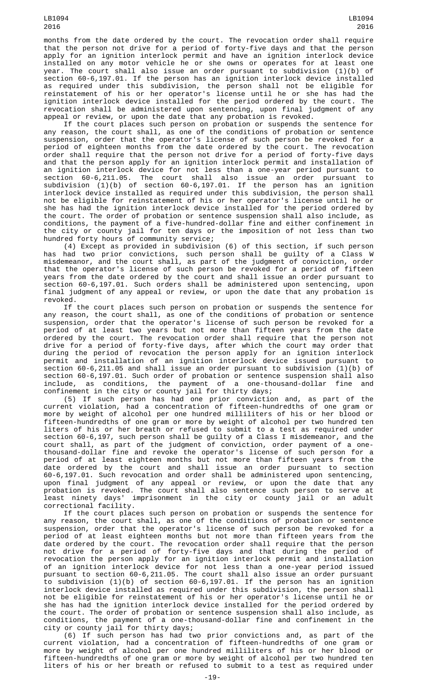months from the date ordered by the court. The revocation order shall require that the person not drive for a period of forty-five days and that the person apply for an ignition interlock permit and have an ignition interlock device installed on any motor vehicle he or she owns or operates for at least one year. The court shall also issue an order pursuant to subdivision (1)(b) of section 60-6,197.01. If the person has an ignition interlock device installed as required under this subdivision, the person shall not be eligible for reinstatement of his or her operator's license until he or she has had the ignition interlock device installed for the period ordered by the court. The revocation shall be administered upon sentencing, upon final judgment of any appeal or review, or upon the date that any probation is revoked.

If the court places such person on probation or suspends the sentence for any reason, the court shall, as one of the conditions of probation or sentence suspension, order that the operator's license of such person be revoked for a period of eighteen months from the date ordered by the court. The revocation order shall require that the person not drive for a period of forty-five days and that the person apply for an ignition interlock permit and installation of an ignition interlock device for not less than a one-year period pursuant to section 60-6,211.05. The court shall also issue an order pursuant to subdivision (1)(b) of section 60-6,197.01. If the person has an ignition interlock device installed as required under this subdivision, the person shall not be eligible for reinstatement of his or her operator's license until he or she has had the ignition interlock device installed for the period ordered by the court. The order of probation or sentence suspension shall also include, as conditions, the payment of a five-hundred-dollar fine and either confinement in the city or county jail for ten days or the imposition of not less than two hundred forty hours of community service;

(4) Except as provided in subdivision (6) of this section, if such person has had two prior convictions, such person shall be guilty of a Class W misdemeanor, and the court shall, as part of the judgment of conviction, order that the operator's license of such person be revoked for a period of fifteen years from the date ordered by the court and shall issue an order pursuant to section 60-6,197.01. Such orders shall be administered upon sentencing, upon final judgment of any appeal or review, or upon the date that any probation is revoked.

If the court places such person on probation or suspends the sentence for any reason, the court shall, as one of the conditions of probation or sentence suspension, order that the operator's license of such person be revoked for a period of at least two years but not more than fifteen years from the date ordered by the court. The revocation order shall require that the person not drive for a period of forty-five days, after which the court may order that during the period of revocation the person apply for an ignition interlock permit and installation of an ignition interlock device issued pursuant to section 60-6,211.05 and shall issue an order pursuant to subdivision (1)(b) of section 60-6,197.01. Such order of probation or sentence suspension shall also include, as conditions, the payment of a one-thousand-dollar fine and confinement in the city or county jail for thirty days;

(5) If such person has had one prior conviction and, as part of the current violation, had a concentration of fifteen-hundredths of one gram or more by weight of alcohol per one hundred milliliters of his or her blood or fifteen-hundredths of one gram or more by weight of alcohol per two hundred ten liters of his or her breath or refused to submit to a test as required under section 60-6,197, such person shall be guilty of a Class I misdemeanor, and the court shall, as part of the judgment of conviction, order payment of a onethousand-dollar fine and revoke the operator's license of such person for a period of at least eighteen months but not more than fifteen years from the date ordered by the court and shall issue an order pursuant to section 60-6,197.01. Such revocation and order shall be administered upon sentencing, upon final judgment of any appeal or review, or upon the date that any probation is revoked. The court shall also sentence such person to serve at least ninety days' imprisonment in the city or county jail or an adult correctional facility.

If the court places such person on probation or suspends the sentence for any reason, the court shall, as one of the conditions of probation or sentence suspension, order that the operator's license of such person be revoked for a period of at least eighteen months but not more than fifteen years from the date ordered by the court. The revocation order shall require that the person not drive for a period of forty-five days and that during the period of revocation the person apply for an ignition interlock permit and installation of an ignition interlock device for not less than a one-year period issued pursuant to section 60-6,211.05. The court shall also issue an order pursuant to subdivision (1)(b) of section 60-6,197.01. If the person has an ignition interlock device installed as required under this subdivision, the person shall not be eligible for reinstatement of his or her operator's license until he or she has had the ignition interlock device installed for the period ordered by the court. The order of probation or sentence suspension shall also include, as conditions, the payment of a one-thousand-dollar fine and confinement in the city or county jail for thirty days;

(6) If such person has had two prior convictions and, as part of the current violation, had a concentration of fifteen-hundredths of one gram or more by weight of alcohol per one hundred milliliters of his or her blood or fifteen-hundredths of one gram or more by weight of alcohol per two hundred ten liters of his or her breath or refused to submit to a test as required under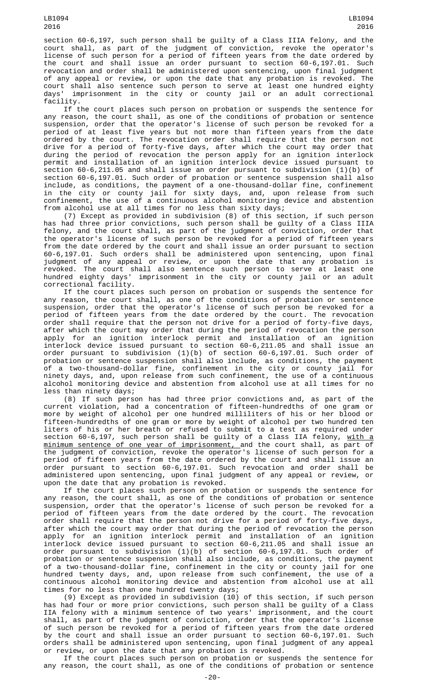section 60-6,197, such person shall be guilty of a Class IIIA felony, and the court shall, as part of the judgment of conviction, revoke the operator's license of such person for a period of fifteen years from the date ordered by the court and shall issue an order pursuant to section 60-6,197.01. Such revocation and order shall be administered upon sentencing, upon final judgment of any appeal or review, or upon the date that any probation is revoked. The court shall also sentence such person to serve at least one hundred eighty days' imprisonment in the city or county jail or an adult correctional facility.

If the court places such person on probation or suspends the sentence for any reason, the court shall, as one of the conditions of probation or sentence suspension, order that the operator's license of such person be revoked for a period of at least five years but not more than fifteen years from the date ordered by the court. The revocation order shall require that the person not drive for a period of forty-five days, after which the court may order that during the period of revocation the person apply for an ignition interlock permit and installation of an ignition interlock device issued pursuant to section 60-6,211.05 and shall issue an order pursuant to subdivision (1)(b) of section 60-6,197.01. Such order of probation or sentence suspension shall also include, as conditions, the payment of a one-thousand-dollar fine, confinement in the city or county jail for sixty days, and, upon release from such confinement, the use of a continuous alcohol monitoring device and abstention from alcohol use at all times for no less than sixty days;

(7) Except as provided in subdivision (8) of this section, if such person has had three prior convictions, such person shall be guilty of a Class IIIA felony, and the court shall, as part of the judgment of conviction, order that the operator's license of such person be revoked for a period of fifteen years from the date ordered by the court and shall issue an order pursuant to section 60-6,197.01. Such orders shall be administered upon sentencing, upon final judgment of any appeal or review, or upon the date that any probation is revoked. The court shall also sentence such person to serve at least one hundred eighty days' imprisonment in the city or county jail or an adult correctional facility.

If the court places such person on probation or suspends the sentence for any reason, the court shall, as one of the conditions of probation or sentence suspension, order that the operator's license of such person be revoked for a period of fifteen years from the date ordered by the court. The revocation order shall require that the person not drive for a period of forty-five days, after which the court may order that during the period of revocation the person apply for an ignition interlock permit and installation of an ignition interlock device issued pursuant to section 60-6,211.05 and shall issue an order pursuant to subdivision (1)(b) of section 60-6,197.01. Such order of probation or sentence suspension shall also include, as conditions, the payment of a two-thousand-dollar fine, confinement in the city or county jail for ninety days, and, upon release from such confinement, the use of a continuous alcohol monitoring device and abstention from alcohol use at all times for no less than ninety days;

(8) If such person has had three prior convictions and, as part of the current violation, had a concentration of fifteen-hundredths of one gram or more by weight of alcohol per one hundred milliliters of his or her blood or fifteen-hundredths of one gram or more by weight of alcohol per two hundred ten liters of his or her breath or refused to submit to a test as required under section 60-6,197, such person shall be guilty of a Class IIA felony, <u>with a</u> <u>minimum sentence of one year of imprisonment, a</u>nd the court shall, as part of the judgment of conviction, revoke the operator's license of such person for a period of fifteen years from the date ordered by the court and shall issue an order pursuant to section 60-6,197.01. Such revocation and order shall be administered upon sentencing, upon final judgment of any appeal or review, or upon the date that any probation is revoked.

If the court places such person on probation or suspends the sentence for any reason, the court shall, as one of the conditions of probation or sentence suspension, order that the operator's license of such person be revoked for a period of fifteen years from the date ordered by the court. The revocation order shall require that the person not drive for a period of forty-five days, after which the court may order that during the period of revocation the person apply for an ignition interlock permit and installation of an ignition interlock device issued pursuant to section 60-6,211.05 and shall issue an order pursuant to subdivision (1)(b) of section 60-6,197.01. Such order of probation or sentence suspension shall also include, as conditions, the payment of a two-thousand-dollar fine, confinement in the city or county jail for one hundred twenty days, and, upon release from such confinement, the use of a continuous alcohol monitoring device and abstention from alcohol use at all times for no less than one hundred twenty days;

(9) Except as provided in subdivision (10) of this section, if such person has had four or more prior convictions, such person shall be guilty of a Class IIA felony with a minimum sentence of two years' imprisonment, and the court shall, as part of the judgment of conviction, order that the operator's license of such person be revoked for a period of fifteen years from the date ordered by the court and shall issue an order pursuant to section 60-6,197.01. Such orders shall be administered upon sentencing, upon final judgment of any appeal or review, or upon the date that any probation is revoked.

If the court places such person on probation or suspends the sentence for any reason, the court shall, as one of the conditions of probation or sentence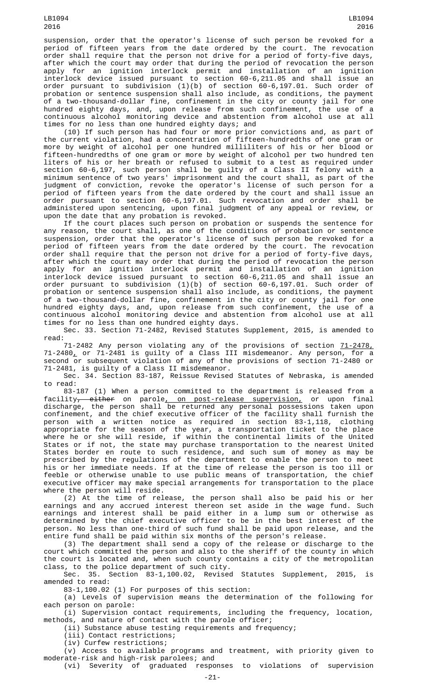suspension, order that the operator's license of such person be revoked for a period of fifteen years from the date ordered by the court. The revocation order shall require that the person not drive for a period of forty-five days, after which the court may order that during the period of revocation the person apply for an ignition interlock permit and installation of an ignition interlock device issued pursuant to section 60-6,211.05 and shall issue an order pursuant to subdivision (1)(b) of section 60-6,197.01. Such order of probation or sentence suspension shall also include, as conditions, the payment of a two-thousand-dollar fine, confinement in the city or county jail for one hundred eighty days, and, upon release from such confinement, the use of a continuous alcohol monitoring device and abstention from alcohol use at all times for no less than one hundred eighty days; and

(10) If such person has had four or more prior convictions and, as part of the current violation, had a concentration of fifteen-hundredths of one gram or more by weight of alcohol per one hundred milliliters of his or her blood or fifteen-hundredths of one gram or more by weight of alcohol per two hundred ten liters of his or her breath or refused to submit to a test as required under section 60-6,197, such person shall be guilty of a Class II felony with a minimum sentence of two years' imprisonment and the court shall, as part of the judgment of conviction, revoke the operator's license of such person for a period of fifteen years from the date ordered by the court and shall issue an order pursuant to section 60-6,197.01. Such revocation and order shall be administered upon sentencing, upon final judgment of any appeal or review, or upon the date that any probation is revoked.

If the court places such person on probation or suspends the sentence for any reason, the court shall, as one of the conditions of probation or sentence suspension, order that the operator's license of such person be revoked for a period of fifteen years from the date ordered by the court. The revocation order shall require that the person not drive for a period of forty-five days, after which the court may order that during the period of revocation the person apply for an ignition interlock permit and installation of an ignition interlock device issued pursuant to section 60-6,211.05 and shall issue an order pursuant to subdivision (1)(b) of section 60-6,197.01. Such order of probation or sentence suspension shall also include, as conditions, the payment of a two-thousand-dollar fine, confinement in the city or county jail for one hundred eighty days, and, upon release from such confinement, the use of a continuous alcohol monitoring device and abstention from alcohol use at all times for no less than one hundred eighty days.

Sec. 33. Section 71-2482, Revised Statutes Supplement, 2015, is amended to read:

71-2482 Any person violating any of the provisions of section <u>71-2478,</u> 71-2480, or 71-2481 is guilty of a Class III misdemeanor. Any person, for a second or subsequent violation of any of the provisions of section 71-2480 or 71-2481, is guilty of a Class II misdemeanor.

Sec. 34. Section 83-187, Reissue Revised Statutes of Nebraska, is amended to read:

83-187 (1) When a person committed to the department is released from a facility<del>, either</del> on parole<u>, on post-release supervision,</u> or upon final discharge, the person shall be returned any personal possessions taken upon confinement, and the chief executive officer of the facility shall furnish the person with a written notice as required in section 83-1,118, clothing appropriate for the season of the year, a transportation ticket to the place where he or she will reside, if within the continental limits of the United States or if not, the state may purchase transportation to the nearest United States border en route to such residence, and such sum of money as may be prescribed by the regulations of the department to enable the person to meet his or her immediate needs. If at the time of release the person is too ill or feeble or otherwise unable to use public means of transportation, the chief executive officer may make special arrangements for transportation to the place where the person will reside.

(2) At the time of release, the person shall also be paid his or her earnings and any accrued interest thereon set aside in the wage fund. Such earnings and interest shall be paid either in a lump sum or otherwise as determined by the chief executive officer to be in the best interest of the person. No less than one-third of such fund shall be paid upon release, and the entire fund shall be paid within six months of the person's release.

(3) The department shall send a copy of the release or discharge to the court which committed the person and also to the sheriff of the county in which the court is located and, when such county contains a city of the metropolitan class, to the police department of such city.

Sec. 35. Section 83-1,100.02, Revised Statutes Supplement, 2015, is amended to read:

83-1,100.02 (1) For purposes of this section:

(a) Levels of supervision means the determination of the following for each person on parole:

(i) Supervision contact requirements, including the frequency, location, methods, and nature of contact with the parole officer;

(ii) Substance abuse testing requirements and frequency;

(iii) Contact restrictions;

(iv) Curfew restrictions;

 $(v)$  Access to available programs and treatment, with priority given to moderate-risk and high-risk parolees; and (vi) Severity of graduated responses to violations of supervision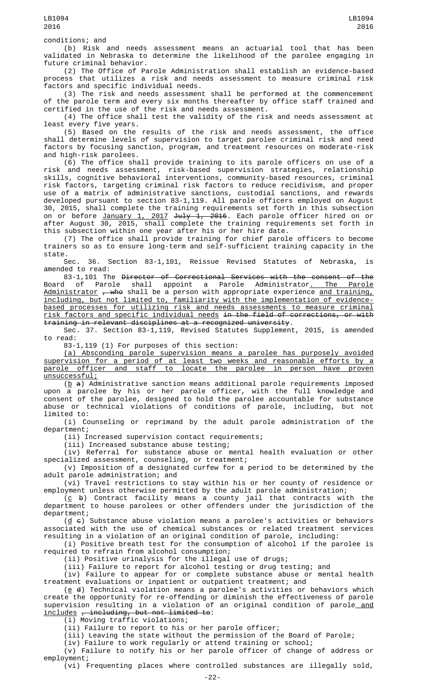conditions; and

(b) Risk and needs assessment means an actuarial tool that has been validated in Nebraska to determine the likelihood of the parolee engaging in future criminal behavior.

(2) The Office of Parole Administration shall establish an evidence-based process that utilizes a risk and needs assessment to measure criminal risk factors and specific individual needs.

(3) The risk and needs assessment shall be performed at the commencement of the parole term and every six months thereafter by office staff trained and certified in the use of the risk and needs assessment.

(4) The office shall test the validity of the risk and needs assessment at least every five years.

(5) Based on the results of the risk and needs assessment, the office shall determine levels of supervision to target parolee criminal risk and need factors by focusing sanction, program, and treatment resources on moderate-risk and high-risk parolees.

(6) The office shall provide training to its parole officers on use of a risk and needs assessment, risk-based supervision strategies, relationship skills, cognitive behavioral interventions, community-based resources, criminal risk factors, targeting criminal risk factors to reduce recidivism, and proper use of a matrix of administrative sanctions, custodial sanctions, and rewards developed pursuant to section 83-1,119. All parole officers employed on August 30, 2015, shall complete the training requirements set forth in this subsection on or before <u>January 1, 2017</u> <del>July 1, 2016</del>. Each parole officer hired on or after August 30, 2015, shall complete the training requirements set forth in this subsection within one year after his or her hire date.

(7) The office shall provide training for chief parole officers to become trainers so as to ensure long-term and self-sufficient training capacity in the

state.<br>Sec. 36. Section 83-1,101, Reissue Revised Statutes of Nebraska, is amended to read:

83-1,101 The Director of Correctional Services with the consent of the Board of Parole shall appoint a Parole Administrator<u>. The Parole</u> <u>Administrator</u> <del>, who</del> shall be a person with appropriate experience <u>and training,</u> including, but not limited to, familiarity with the implementation of evidencebased processes for utilizing risk and needs assessments to measure criminal risk factors and specific individual needs in the field of corrections, or with training in relevant disciplines at a recognized university.

Sec. 37. Section 83-1,119, Revised Statutes Supplement, 2015, is amended to read:

83-1,119 (1) For purposes of this section:

(a) Absconding parole supervision means a parolee has purposely avoided supervision for a period of at least two weeks and reasonable efforts by a parole officer and staff to locate the parolee in person have proven unsuccessful;

( $\underline{b}$  a) Administrative sanction means additional parole requirements imposed upon a parolee by his or her parole officer, with the full knowledge and consent of the parolee, designed to hold the parolee accountable for substance abuse or technical violations of conditions of parole, including, but not limited to:

(i) Counseling or reprimand by the adult parole administration of the department;

(ii) Increased supervision contact requirements;

(iii) Increased substance abuse testing;

(iv) Referral for substance abuse or mental health evaluation or other specialized assessment, counseling, or treatment;

(v) Imposition of a designated curfew for a period to be determined by the adult parole administration; and

(vi) Travel restrictions to stay within his or her county of residence or employment unless otherwise permitted by the adult parole administration;

 $(c \leftrightarrow)$  Contract facility means a county jail that contracts with the department to house parolees or other offenders under the jurisdiction of the department;

 $(d \epsilon)$  Substance abuse violation means a parolee's activities or behaviors associated with the use of chemical substances or related treatment services resulting in a violation of an original condition of parole, including:

(i) Positive breath test for the consumption of alcohol if the parolee is required to refrain from alcohol consumption;

(ii) Positive urinalysis for the illegal use of drugs;

(iii) Failure to report for alcohol testing or drug testing; and

(iv) Failure to appear for or complete substance abuse or mental health treatment evaluations or inpatient or outpatient treatment; and

 $(e$   $d)$  Technical violation means a parolee's activities or behaviors which create the opportunity for re-offending or diminish the effectiveness of parole supervision resulting in a violation of an original condition of parole\_<u>and</u> includes , including, but not limited to:

(i) Moving traffic violations;

(ii) Failure to report to his or her parole officer;

(iii) Leaving the state without the permission of the Board of Parole;

(iv) Failure to work regularly or attend training or school;

(v) Failure to notify his or her parole officer of change of address or employment;

(vi) Frequenting places where controlled substances are illegally sold,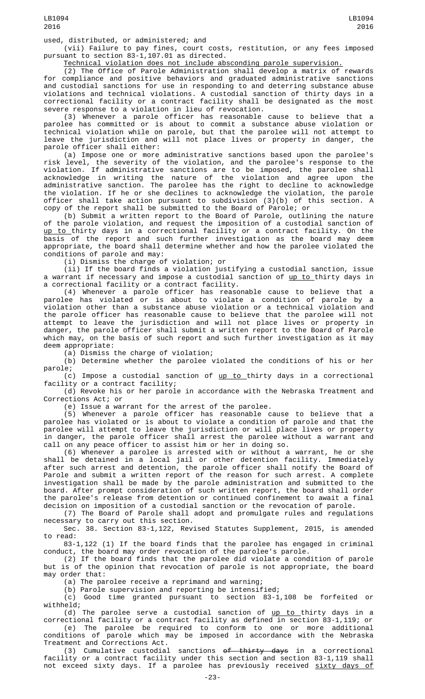used, distributed, or administered; and

(vii) Failure to pay fines, court costs, restitution, or any fees imposed pursuant to section 83-1,107.01 as directed.

Technical violation does not include absconding parole supervision.

(2) The Office of Parole Administration shall develop a matrix of rewards for compliance and positive behaviors and graduated administrative sanctions and custodial sanctions for use in responding to and deterring substance abuse violations and technical violations. A custodial sanction of thirty days in a correctional facility or a contract facility shall be designated as the most severe response to a violation in lieu of revocation.

(3) Whenever a parole officer has reasonable cause to believe that a parolee has committed or is about to commit a substance abuse violation or technical violation while on parole, but that the parolee will not attempt to leave the jurisdiction and will not place lives or property in danger, the parole officer shall either:

(a) Impose one or more administrative sanctions based upon the parolee's risk level, the severity of the violation, and the parolee's response to the violation. If administrative sanctions are to be imposed, the parolee shall acknowledge in writing the nature of the violation and agree upon the administrative sanction. The parolee has the right to decline to acknowledge the violation. If he or she declines to acknowledge the violation, the parole officer shall take action pursuant to subdivision (3)(b) of this section. A copy of the report shall be submitted to the Board of Parole; or

(b) Submit a written report to the Board of Parole, outlining the nature of the parole violation, and request the imposition of a custodial sanction of <u>up to </u>thirty days in a correctional facility or a contract facility. On the basis of the report and such further investigation as the board may deem appropriate, the board shall determine whether and how the parolee violated the conditions of parole and may:

(i) Dismiss the charge of violation; or

(ii) If the board finds a violation justifying a custodial sanction, issue a warrant if necessary and impose a custodial sanction of up to thirty days in a correctional facility or a contract facility.

(4) Whenever a parole officer has reasonable cause to believe that a parolee has violated or is about to violate a condition of parole by a violation other than a substance abuse violation or a technical violation and the parole officer has reasonable cause to believe that the parolee will not attempt to leave the jurisdiction and will not place lives or property in danger, the parole officer shall submit a written report to the Board of Parole which may, on the basis of such report and such further investigation as it may deem appropriate:

(a) Dismiss the charge of violation;

(b) Determine whether the parolee violated the conditions of his or her parole;

(c) Impose a custodial sanction of <u>up to thirty days in a correctional</u> facility or a contract facility;

(d) Revoke his or her parole in accordance with the Nebraska Treatment and Corrections Act; or

(e) Issue a warrant for the arrest of the parolee.

(5) Whenever a parole officer has reasonable cause to believe that a parolee has violated or is about to violate a condition of parole and that the parolee will attempt to leave the jurisdiction or will place lives or property in danger, the parole officer shall arrest the parolee without a warrant and call on any peace officer to assist him or her in doing so.

(6) Whenever a parolee is arrested with or without a warrant, he or she shall be detained in a local jail or other detention facility. Immediately after such arrest and detention, the parole officer shall notify the Board of Parole and submit a written report of the reason for such arrest. A complete investigation shall be made by the parole administration and submitted to the board. After prompt consideration of such written report, the board shall order the parolee's release from detention or continued confinement to await a final decision on imposition of a custodial sanction or the revocation of parole.

(7) The Board of Parole shall adopt and promulgate rules and regulations necessary to carry out this section.

Sec. 38. Section 83-1,122, Revised Statutes Supplement, 2015, is amended to read:

83-1,122 (1) If the board finds that the parolee has engaged in criminal conduct, the board may order revocation of the parolee's parole.

(2) If the board finds that the parolee did violate a condition of parole but is of the opinion that revocation of parole is not appropriate, the board may order that:

(a) The parolee receive a reprimand and warning;

(b) Parole supervision and reporting be intensified;<br>(c) Good time granted pursuant to section 83-1 Good time granted pursuant to section 83-1,108 be forfeited or withheld;

(d) The parolee serve a custodial sanction of <u>up to thirty days in a</u> correctional facility or a contract facility as defined in section 83-1,119; or (e) The parolee be required to conform to one or more additional conditions of parole which may be imposed in accordance with the Nebraska Treatment and Corrections Act.

(3) Cumulative custodial sanctions of thirty days in a correctional facility or a contract facility under this section and section 83-1,119 shall not exceed sixty days. If a parolee has previously received sixty days of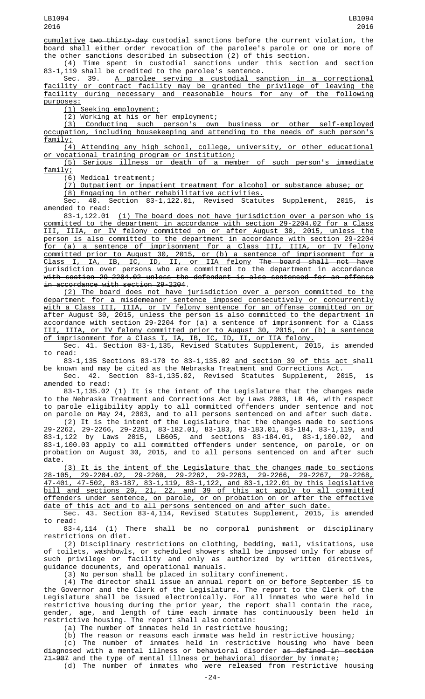cumulative two thirty-day custodial sanctions before the current violation, the board shall either order revocation of the parolee's parole or one or more of the other sanctions described in subsection (2) of this section.

(4) Time spent in custodial sanctions under this section and section 83-1,119 shall be credited to the parolee's sentence.

Sec. 39. A parolee serving a custodial sanction in a correctional facility or contract facility may be granted the privilege of leaving the facility during necessary and reasonable hours for any of the following purposes:

(1) Seeking employment;

(2) Working at his or her employment;

(3) Conducting such person's own business or other self-employed occupation, including housekeeping and attending to the needs of such person's

family; Attending any high school, college, university, or other educational or vocational training program or institution;

(5) Serious illness or death of a member of such person's immediate family;

(6) Medical treatment;

(7) Outpatient or inpatient treatment for alcohol or substance abuse; or

(8) Engaging in other rehabilitative activities.

Revised Statutes Supplement, 2015, is

amended to read:<br>83-1,122.01 (1) The board does not have jurisdiction over a person who is committed to the department in accordance with section 29-2204.02 for a Class III, IIIA, or IV felony committed on or after August 30, 2015, unless the person is also committed to the department in accordance with section 29-2204 for (a) a sentence of imprisonment for a Class III, IIIA, or IV felony committed prior to August 30, 2015, or (b) a sentence of imprisonment for a Class I, IA, IB, IC, ID, II, or IIA felony The board shall not have  $\overline{\text{Class I, IA, IB, IC, ID, II, or IIA fellow}$  The board shall not have jurisdiction over persons who are committed to the department in accordance with section 29-2204.02 unless the defendant is also sentenced for an offense in accordance with section 29-2204.

(2) The board does not have jurisdiction over a person committed to the department for a misdemeanor sentence imposed consecutively or concurrently with a Class III, IIIA, or IV felony sentence for an offense committed on or after August 30, 2015, unless the person is also committed to the department in accordance with section 29-2204 for (a) a sentence of imprisonment for a Class III, IIIA, or IV felony committed prior to August 30, 2015, or (b) a sentence of imprisonment for a Class I, IA, IB, IC, ID, II, or IIA felony.

Sec. 41. Section 83-1,135, Revised Statutes Supplement, 2015, is amended to read:

83-1,135 Sections 83-170 to 83-1,135.02 and section 39 of this act shall be known and may be cited as the Nebraska Treatment and Corrections Act.

Sec. 42. Section 83-1,135.02, Revised Statutes Supplement, 2015, is amended to read:

83-1,135.02 (1) It is the intent of the Legislature that the changes made to the Nebraska Treatment and Corrections Act by Laws 2003, LB 46, with respect to parole eligibility apply to all committed offenders under sentence and not on parole on May 24, 2003, and to all persons sentenced on and after such date. (2) It is the intent of the Legislature that the changes made to sections 29-2262, 29-2266, 29-2281, 83-182.01, 83-183, 83-183.01, 83-184, 83-1,119, and 83-1,122 by Laws 2015, LB605, and sections 83-184.01, 83-1,100.02, and 83-1,100.03 apply to all committed offenders under sentence, on parole, or on probation on August 30, 2015, and to all persons sentenced on and after such date.

(3) It is the intent of the Legislature that the changes made to sections 28-105, 29-2204.02, 29-2260, 29-2262, 29-2263, 29-2266, 29-2267, 29-2268, 47-401, 47-502, 83-187, 83-1,119, 83-1,122, and 83-1,122.01 by this legislative bill and sections 20, 21, 22, and 39 of this act apply to all committed offenders under sentence, on parole, or on probation on or after the effective date of this act and to all persons sentenced on and after such date.

Sec. 43. Section 83-4,114, Revised Statutes Supplement, 2015, is amended to read:<br>83-4,114

(1) There shall be no corporal punishment or disciplinary restrictions on diet.

(2) Disciplinary restrictions on clothing, bedding, mail, visitations, use of toilets, washbowls, or scheduled showers shall be imposed only for abuse of such privilege or facility and only as authorized by written directives, guidance documents, and operational manuals.

(3) No person shall be placed in solitary confinement.

(4) The director shall issue an annual report <u>on or before September 15 t</u>o the Governor and the Clerk of the Legislature. The report to the Clerk of the Legislature shall be issued electronically. For all inmates who were held in restrictive housing during the prior year, the report shall contain the race, gender, age, and length of time each inmate has continuously been held in restrictive housing. The report shall also contain:

(a) The number of inmates held in restrictive housing;

 $(b)$  The reason or reasons each inmate was held in restrictive housing;

(c) The number of inmates held in restrictive housing who have been diagnosed with a mental illness <u>or behavioral disorder</u> <del>as defined in section</del> 71-907 and the type of mental illness or behavioral disorder by inmate; (d) The number of inmates who were released from restrictive housing